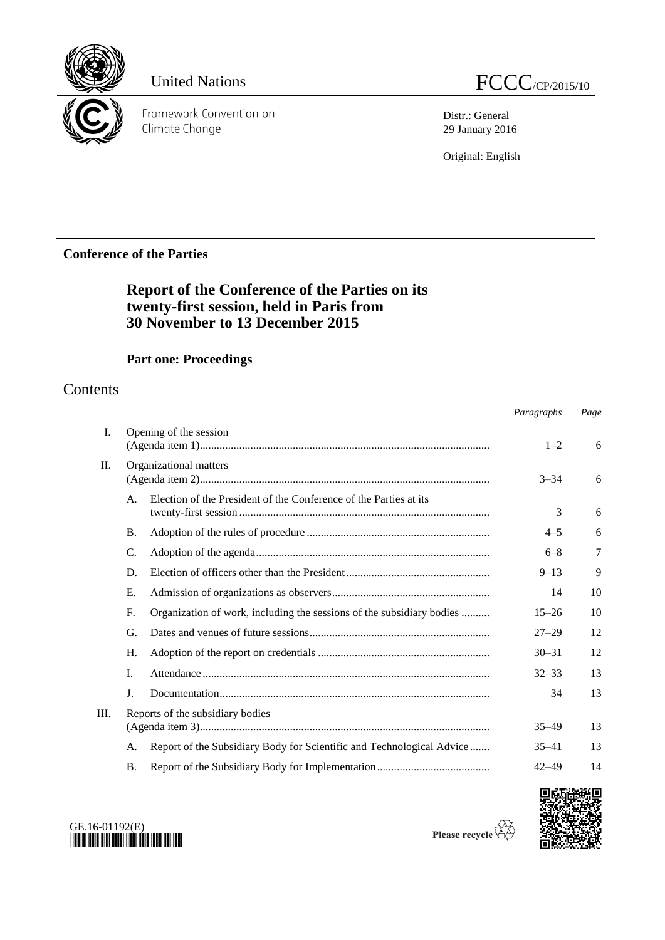

Framework Convention on Climate Change

Distr.: General 29 January 2016

Original: English

# **Conference of the Parties**

# **Report of the Conference of the Parties on its twenty-first session, held in Paris from 30 November to 13 December 2015**

# **Part one: Proceedings**

# Contents

|      |                |                                                                       | Paragraphs | Page |
|------|----------------|-----------------------------------------------------------------------|------------|------|
| Ι.   |                | Opening of the session                                                | $1 - 2$    | 6    |
| II.  |                | Organizational matters                                                | $3 - 34$   | 6    |
|      | $\mathsf{A}$ . | Election of the President of the Conference of the Parties at its     | 3          | 6    |
|      | <b>B.</b>      |                                                                       | $4 - 5$    | 6    |
|      | C.             |                                                                       | $6 - 8$    | 7    |
|      | D.             |                                                                       | $9 - 13$   | 9    |
|      | Е.             |                                                                       | 14         | 10   |
|      | F.             | Organization of work, including the sessions of the subsidiary bodies | $15 - 26$  | 10   |
|      | G.             |                                                                       | $27 - 29$  | 12   |
|      | Н.             |                                                                       | $30 - 31$  | 12   |
|      | I.             |                                                                       | $32 - 33$  | 13   |
|      | J.             |                                                                       | 34         | 13   |
| III. |                | Reports of the subsidiary bodies                                      | $35 - 49$  | 13   |
|      | А.             | Report of the Subsidiary Body for Scientific and Technological Advice | $35 - 41$  | 13   |
|      | <b>B.</b>      |                                                                       | $42 - 49$  | 14   |
|      |                |                                                                       |            |      |





Please recycle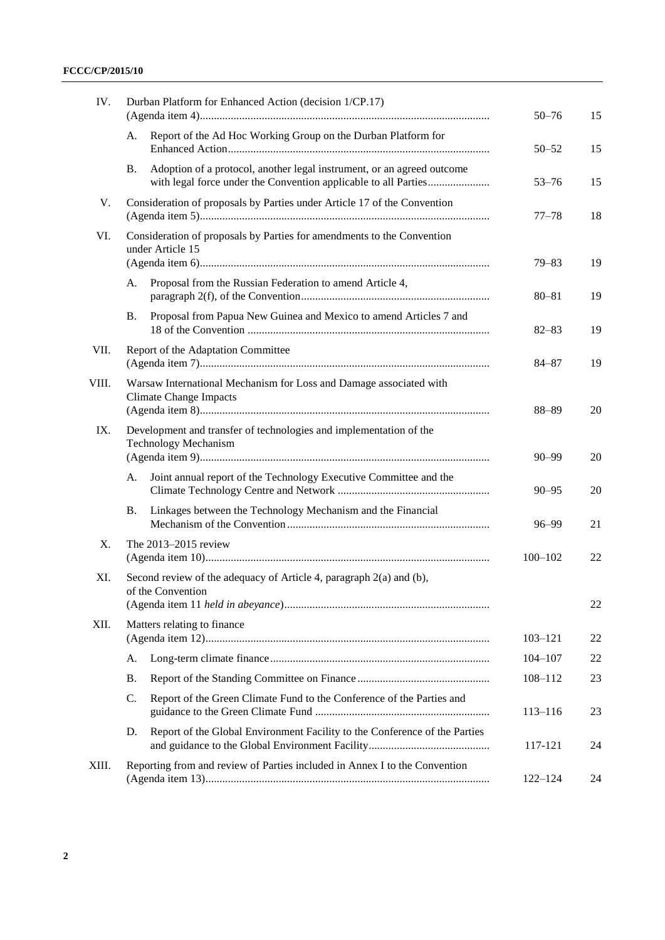### **FCCC/CP/2015/10**

| IV.<br>Durban Platform for Enhanced Action (decision 1/CP.17) |    |                                                                                                                                           | $50 - 76$   | 15 |
|---------------------------------------------------------------|----|-------------------------------------------------------------------------------------------------------------------------------------------|-------------|----|
|                                                               | А. | Report of the Ad Hoc Working Group on the Durban Platform for                                                                             | $50 - 52$   | 15 |
|                                                               | Β. | Adoption of a protocol, another legal instrument, or an agreed outcome<br>with legal force under the Convention applicable to all Parties | $53 - 76$   | 15 |
| V.                                                            |    | Consideration of proposals by Parties under Article 17 of the Convention                                                                  | $77 - 78$   | 18 |
| VI.                                                           |    | Consideration of proposals by Parties for amendments to the Convention<br>under Article 15                                                | $79 - 83$   | 19 |
|                                                               | А. | Proposal from the Russian Federation to amend Article 4,                                                                                  | $80 - 81$   | 19 |
|                                                               | Β. | Proposal from Papua New Guinea and Mexico to amend Articles 7 and                                                                         | $82 - 83$   | 19 |
| VII.                                                          |    | Report of the Adaptation Committee                                                                                                        | $84 - 87$   | 19 |
| VIII.                                                         |    | Warsaw International Mechanism for Loss and Damage associated with<br><b>Climate Change Impacts</b>                                       | 88-89       | 20 |
| IX.                                                           |    | Development and transfer of technologies and implementation of the<br><b>Technology Mechanism</b>                                         | $90 - 99$   | 20 |
|                                                               | A. | Joint annual report of the Technology Executive Committee and the                                                                         | $90 - 95$   | 20 |
|                                                               | Β. | Linkages between the Technology Mechanism and the Financial                                                                               | $96 - 99$   | 21 |
| X.                                                            |    | The 2013-2015 review                                                                                                                      | $100 - 102$ | 22 |
| XI.                                                           |    | Second review of the adequacy of Article 4, paragraph 2(a) and (b),<br>of the Convention                                                  |             | 22 |
| XII.                                                          |    | Matters relating to finance                                                                                                               | $103 - 121$ | 22 |
|                                                               | A. |                                                                                                                                           | $104 - 107$ | 22 |
|                                                               | Β. |                                                                                                                                           | 108-112     | 23 |
|                                                               | C. | Report of the Green Climate Fund to the Conference of the Parties and                                                                     | $113 - 116$ | 23 |
|                                                               | D. | Report of the Global Environment Facility to the Conference of the Parties                                                                | 117-121     | 24 |
| XIII.                                                         |    | Reporting from and review of Parties included in Annex I to the Convention                                                                | $122 - 124$ | 24 |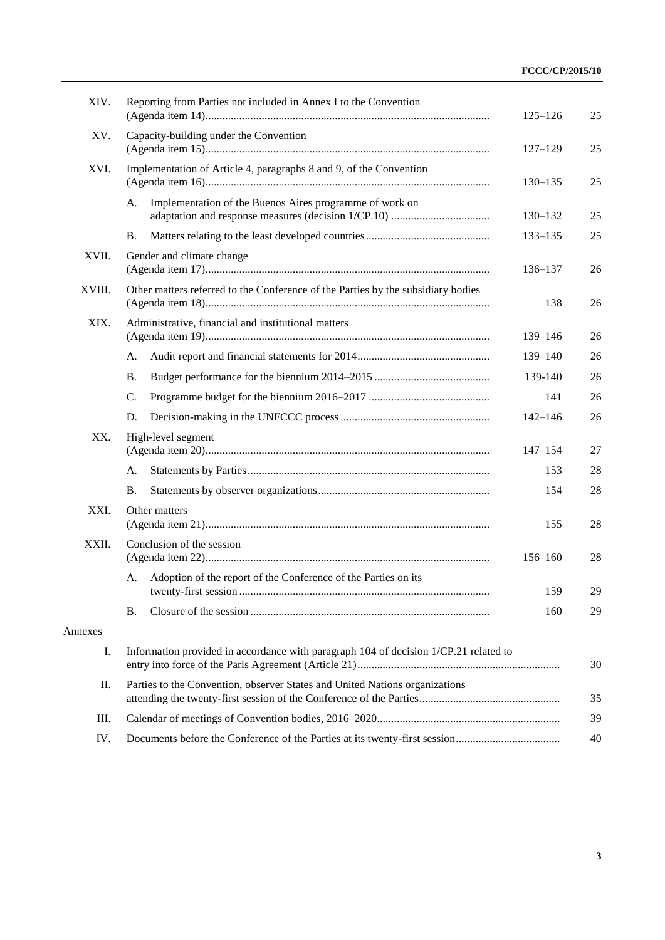| XIV.    | Reporting from Parties not included in Annex I to the Convention                     | $125 - 126$ | 25 |
|---------|--------------------------------------------------------------------------------------|-------------|----|
| XV.     | Capacity-building under the Convention                                               | $127 - 129$ | 25 |
| XVI.    | Implementation of Article 4, paragraphs 8 and 9, of the Convention                   | $130 - 135$ | 25 |
|         | Implementation of the Buenos Aires programme of work on<br>А.                        | 130-132     | 25 |
|         | Β.                                                                                   | 133-135     | 25 |
| XVII.   | Gender and climate change                                                            | 136-137     | 26 |
| XVIII.  | Other matters referred to the Conference of the Parties by the subsidiary bodies     | 138         | 26 |
| XIX.    | Administrative, financial and institutional matters                                  | 139-146     | 26 |
|         | А.                                                                                   | 139–140     | 26 |
|         | Β.                                                                                   | 139-140     | 26 |
|         | C.                                                                                   | 141         | 26 |
|         | D.                                                                                   | $142 - 146$ | 26 |
| XX.     | High-level segment                                                                   | $147 - 154$ | 27 |
|         | A.                                                                                   | 153         | 28 |
|         | Β.                                                                                   | 154         | 28 |
| XXI.    | Other matters                                                                        | 155         | 28 |
| XXII.   | Conclusion of the session                                                            | $156 - 160$ | 28 |
|         | Adoption of the report of the Conference of the Parties on its<br>А.                 | 159         | 29 |
|         | <b>B.</b>                                                                            | 160         | 29 |
| Annexes |                                                                                      |             |    |
| Ι.      | Information provided in accordance with paragraph 104 of decision 1/CP.21 related to |             | 30 |
| П.      | Parties to the Convention, observer States and United Nations organizations          |             | 35 |
| Ш.      |                                                                                      |             | 39 |
| IV.     |                                                                                      |             | 40 |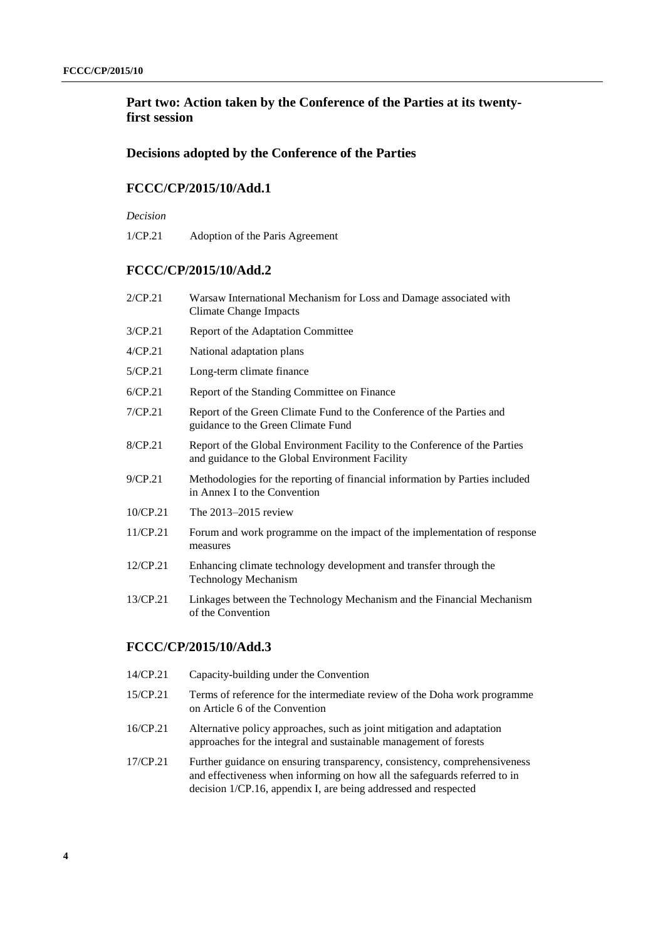### **Part two: Action taken by the Conference of the Parties at its twentyfirst session**

#### **Decisions adopted by the Conference of the Parties**

#### **FCCC/CP/2015/10/Add.1**

#### *Decision*

1/CP.21 Adoption of the Paris Agreement

#### **FCCC/CP/2015/10/Add.2**

- 2/CP.21 Warsaw International Mechanism for Loss and Damage associated with Climate Change Impacts
- 3/CP.21 Report of the Adaptation Committee
- 4/CP.21 National adaptation plans
- 5/CP.21 Long-term climate finance
- 6/CP.21 Report of the Standing Committee on Finance
- 7/CP.21 Report of the Green Climate Fund to the Conference of the Parties and guidance to the Green Climate Fund
- 8/CP.21 Report of the Global Environment Facility to the Conference of the Parties and guidance to the Global Environment Facility
- 9/CP.21 Methodologies for the reporting of financial information by Parties included in Annex I to the Convention
- 10/CP.21 The 2013–2015 review
- 11/CP.21 Forum and work programme on the impact of the implementation of response measures
- 12/CP.21 Enhancing climate technology development and transfer through the Technology Mechanism
- 13/CP.21 Linkages between the Technology Mechanism and the Financial Mechanism of the Convention

#### **FCCC/CP/2015/10/Add.3**

- 14/CP.21 Capacity-building under the Convention
- 15/CP.21 Terms of reference for the intermediate review of the Doha work programme on Article 6 of the Convention
- 16/CP.21 Alternative policy approaches, such as joint mitigation and adaptation approaches for the integral and sustainable management of forests
- 17/CP.21 Further guidance on ensuring transparency, consistency, comprehensiveness and effectiveness when informing on how all the safeguards referred to in decision 1/CP.16, appendix I, are being addressed and respected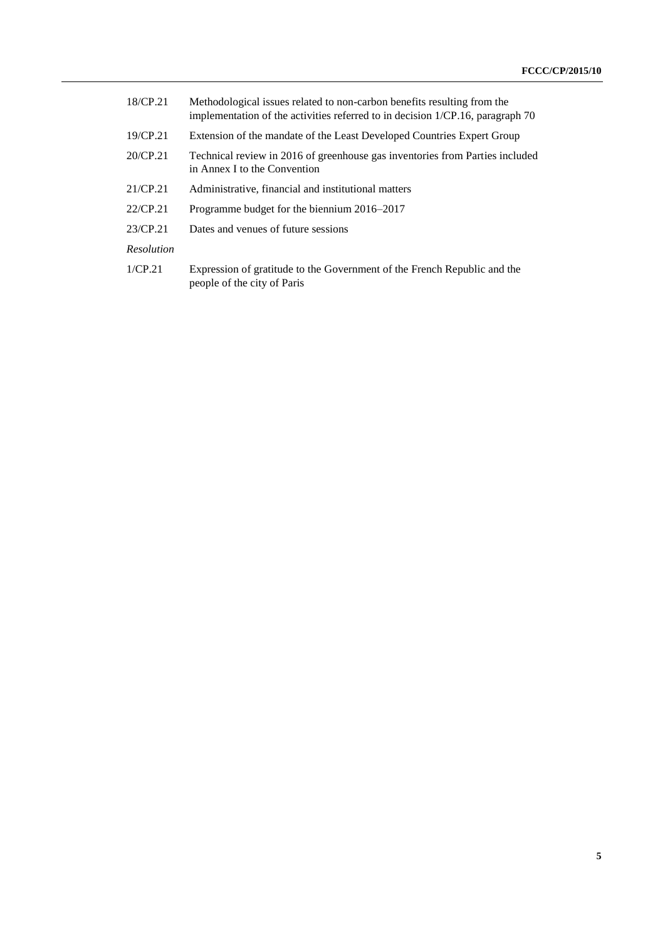- 18/CP.21 Methodological issues related to non-carbon benefits resulting from the implementation of the activities referred to in decision 1/CP.16, paragraph 70
- 19/CP.21 Extension of the mandate of the Least Developed Countries Expert Group
- 20/CP.21 Technical review in 2016 of greenhouse gas inventories from Parties included in Annex I to the Convention
- 21/CP.21 Administrative, financial and institutional matters
- 22/CP.21 Programme budget for the biennium 2016–2017
- 23/CP.21 Dates and venues of future sessions

#### *Resolution*

1/CP.21 Expression of gratitude to the Government of the French Republic and the people of the city of Paris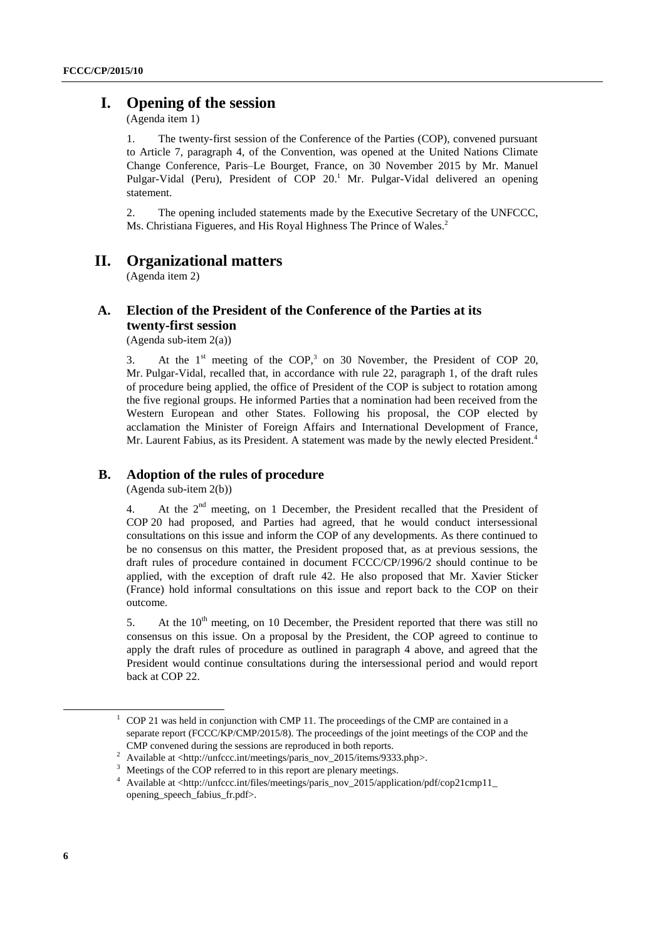# **I. Opening of the session**

(Agenda item 1)

1. The twenty-first session of the Conference of the Parties (COP), convened pursuant to Article 7, paragraph 4, of the Convention, was opened at the United Nations Climate Change Conference, Paris–Le Bourget, France, on 30 November 2015 by Mr. Manuel Pulgar-Vidal (Peru), President of COP 20.<sup>1</sup> Mr. Pulgar-Vidal delivered an opening statement.

2. The opening included statements made by the Executive Secretary of the UNFCCC, Ms. Christiana Figueres, and His Royal Highness The Prince of Wales.<sup>2</sup>

### **II. Organizational matters**

(Agenda item 2)

#### **A. Election of the President of the Conference of the Parties at its twenty-first session**

(Agenda sub-item 2(a))

3. At the  $1<sup>st</sup>$  meeting of the COP,<sup>3</sup> on 30 November, the President of COP 20, Mr. Pulgar-Vidal, recalled that, in accordance with rule 22, paragraph 1, of the draft rules of procedure being applied, the office of President of the COP is subject to rotation among the five regional groups. He informed Parties that a nomination had been received from the Western European and other States. Following his proposal, the COP elected by acclamation the Minister of Foreign Affairs and International Development of France, Mr. Laurent Fabius, as its President. A statement was made by the newly elected President.<sup>4</sup>

# **B. Adoption of the rules of procedure**

(Agenda sub-item 2(b))

4. At the  $2<sup>nd</sup>$  meeting, on 1 December, the President recalled that the President of COP 20 had proposed, and Parties had agreed, that he would conduct intersessional consultations on this issue and inform the COP of any developments. As there continued to be no consensus on this matter, the President proposed that, as at previous sessions, the draft rules of procedure contained in document FCCC/CP/1996/2 should continue to be applied, with the exception of draft rule 42. He also proposed that Mr. Xavier Sticker (France) hold informal consultations on this issue and report back to the COP on their outcome.

5. At the  $10<sup>th</sup>$  meeting, on 10 December, the President reported that there was still no consensus on this issue. On a proposal by the President, the COP agreed to continue to apply the draft rules of procedure as outlined in paragraph 4 above, and agreed that the President would continue consultations during the intersessional period and would report back at COP 22.

 $1 \text{ COP } 21$  was held in conjunction with CMP 11. The proceedings of the CMP are contained in a separate report (FCCC/KP/CMP/2015/8). The proceedings of the joint meetings of the COP and the CMP convened during the sessions are reproduced in both reports.

<sup>2</sup> Available at <http://unfccc.int/meetings/paris\_nov\_2015/items/9333.php>.

<sup>&</sup>lt;sup>3</sup> Meetings of the COP referred to in this report are plenary meetings.

<sup>4</sup> Available at <http://unfccc.int/files/meetings/paris\_nov\_2015/application/pdf/cop21cmp11\_ opening\_speech\_fabius\_fr.pdf>.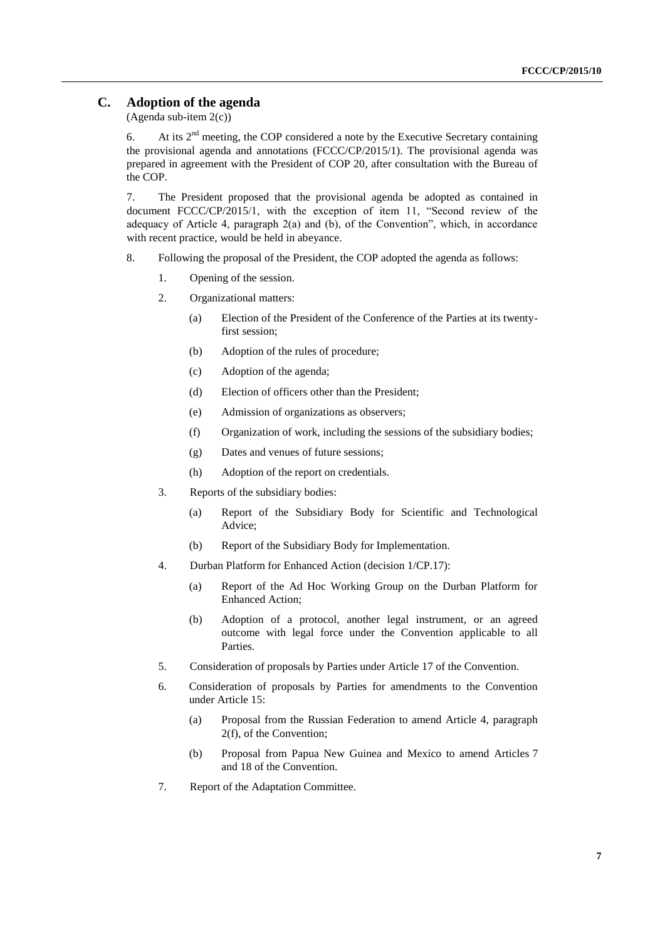### **C. Adoption of the agenda**

(Agenda sub-item  $2(c)$ )

6. At its  $2<sup>nd</sup>$  meeting, the COP considered a note by the Executive Secretary containing the provisional agenda and annotations (FCCC/CP/2015/1). The provisional agenda was prepared in agreement with the President of COP 20, after consultation with the Bureau of the COP.

7. The President proposed that the provisional agenda be adopted as contained in document FCCC/CP/2015/1, with the exception of item 11, "Second review of the adequacy of Article 4, paragraph 2(a) and (b), of the Convention", which, in accordance with recent practice, would be held in abeyance.

- 8. Following the proposal of the President, the COP adopted the agenda as follows:
	- 1. Opening of the session.
	- 2. Organizational matters:
		- (a) Election of the President of the Conference of the Parties at its twentyfirst session;
		- (b) Adoption of the rules of procedure;
		- (c) Adoption of the agenda;
		- (d) Election of officers other than the President;
		- (e) Admission of organizations as observers;
		- (f) Organization of work, including the sessions of the subsidiary bodies;
		- (g) Dates and venues of future sessions;
		- (h) Adoption of the report on credentials.
	- 3. Reports of the subsidiary bodies:
		- (a) Report of the Subsidiary Body for Scientific and Technological Advice;
		- (b) Report of the Subsidiary Body for Implementation.
	- 4. Durban Platform for Enhanced Action (decision 1/CP.17):
		- (a) Report of the Ad Hoc Working Group on the Durban Platform for Enhanced Action;
		- (b) Adoption of a protocol, another legal instrument, or an agreed outcome with legal force under the Convention applicable to all Parties.
	- 5. Consideration of proposals by Parties under Article 17 of the Convention.
	- 6. Consideration of proposals by Parties for amendments to the Convention under Article 15:
		- (a) Proposal from the Russian Federation to amend Article 4, paragraph 2(f), of the Convention;
		- (b) Proposal from Papua New Guinea and Mexico to amend Articles 7 and 18 of the Convention.
	- 7. Report of the Adaptation Committee.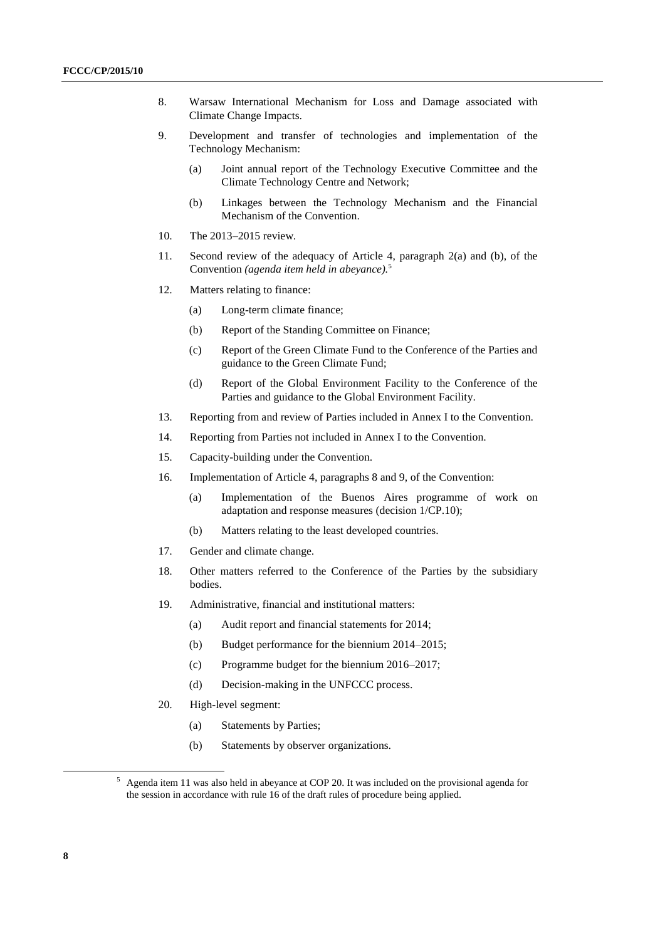- 8. Warsaw International Mechanism for Loss and Damage associated with Climate Change Impacts.
- 9. Development and transfer of technologies and implementation of the Technology Mechanism:
	- (a) Joint annual report of the Technology Executive Committee and the Climate Technology Centre and Network;
	- (b) Linkages between the Technology Mechanism and the Financial Mechanism of the Convention.
- 10. The 2013–2015 review.
- 11. Second review of the adequacy of Article 4, paragraph 2(a) and (b), of the Convention *(agenda item held in abeyance).*<sup>5</sup>
- 12. Matters relating to finance:
	- (a) Long-term climate finance;
	- (b) Report of the Standing Committee on Finance;
	- (c) Report of the Green Climate Fund to the Conference of the Parties and guidance to the Green Climate Fund;
	- (d) Report of the Global Environment Facility to the Conference of the Parties and guidance to the Global Environment Facility.
- 13. Reporting from and review of Parties included in Annex I to the Convention.
- 14. Reporting from Parties not included in Annex I to the Convention.
- 15. Capacity-building under the Convention.
- 16. Implementation of Article 4, paragraphs 8 and 9, of the Convention:
	- (a) Implementation of the Buenos Aires programme of work on adaptation and response measures (decision 1/CP.10);
	- (b) Matters relating to the least developed countries.
- 17. Gender and climate change.
- 18. Other matters referred to the Conference of the Parties by the subsidiary bodies.
- 19. Administrative, financial and institutional matters:
	- (a) Audit report and financial statements for 2014;
	- (b) Budget performance for the biennium 2014–2015;
	- (c) Programme budget for the biennium 2016–2017;
	- (d) Decision-making in the UNFCCC process.
- 20. High-level segment:
	- (a) Statements by Parties;
	- (b) Statements by observer organizations.

<sup>5</sup> Agenda item 11 was also held in abeyance at COP 20. It was included on the provisional agenda for the session in accordance with rule 16 of the draft rules of procedure being applied.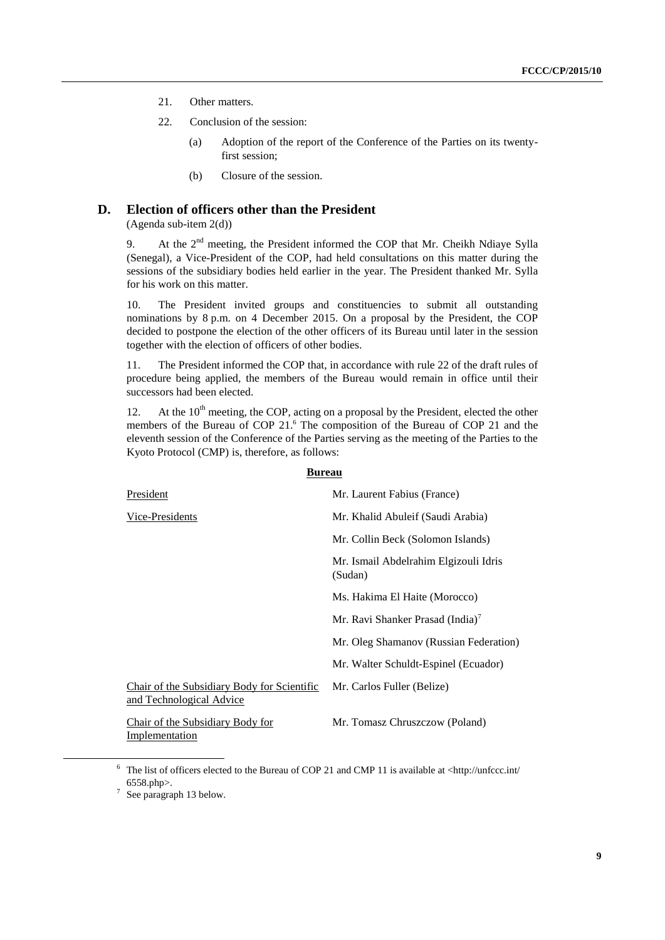- 21. Other matters.
- 22. Conclusion of the session:
	- (a) Adoption of the report of the Conference of the Parties on its twentyfirst session;
	- (b) Closure of the session.

### **D. Election of officers other than the President**

(Agenda sub-item 2(d))

9. At the  $2<sup>nd</sup>$  meeting, the President informed the COP that Mr. Cheikh Ndiaye Sylla (Senegal), a Vice-President of the COP, had held consultations on this matter during the sessions of the subsidiary bodies held earlier in the year. The President thanked Mr. Sylla for his work on this matter.

10. The President invited groups and constituencies to submit all outstanding nominations by 8 p.m. on 4 December 2015. On a proposal by the President, the COP decided to postpone the election of the other officers of its Bureau until later in the session together with the election of officers of other bodies.

11. The President informed the COP that, in accordance with rule 22 of the draft rules of procedure being applied, the members of the Bureau would remain in office until their successors had been elected.

12. At the  $10<sup>th</sup>$  meeting, the COP, acting on a proposal by the President, elected the other members of the Bureau of COP 21.<sup>6</sup> The composition of the Bureau of COP 21 and the eleventh session of the Conference of the Parties serving as the meeting of the Parties to the Kyoto Protocol (CMP) is, therefore, as follows:

| President                                                               | Mr. Laurent Fabius (France)                      |
|-------------------------------------------------------------------------|--------------------------------------------------|
| Vice-Presidents                                                         | Mr. Khalid Abuleif (Saudi Arabia)                |
|                                                                         | Mr. Collin Beck (Solomon Islands)                |
|                                                                         | Mr. Ismail Abdelrahim Elgizouli Idris<br>(Sudan) |
|                                                                         | Ms. Hakima El Haite (Morocco)                    |
|                                                                         | Mr. Ravi Shanker Prasad (India) <sup>7</sup>     |
|                                                                         | Mr. Oleg Shamanov (Russian Federation)           |
|                                                                         | Mr. Walter Schuldt-Espinel (Ecuador)             |
| Chair of the Subsidiary Body for Scientific<br>and Technological Advice | Mr. Carlos Fuller (Belize)                       |
| Chair of the Subsidiary Body for<br>Implementation                      | Mr. Tomasz Chruszczow (Poland)                   |

<sup>6</sup> The list of officers elected to the Bureau of COP 21 and CMP 11 is available at <http://unfccc.int/ 6558.php>.

1

#### **Bureau**

 $7$  See paragraph 13 below.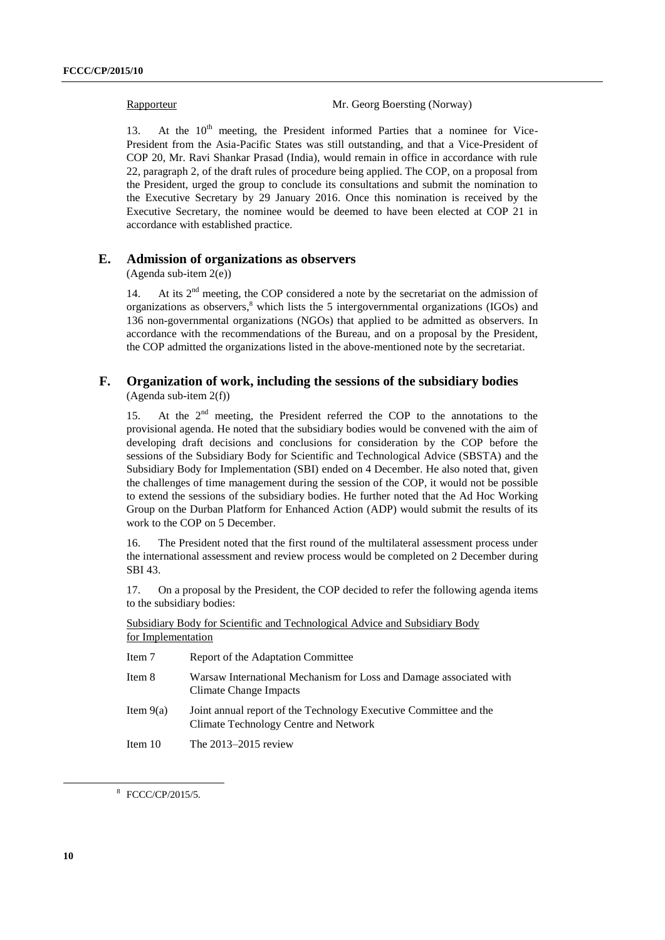Rapporteur Mr. Georg Boersting (Norway)

13. At the  $10<sup>th</sup>$  meeting, the President informed Parties that a nominee for Vice-President from the Asia-Pacific States was still outstanding, and that a Vice-President of COP 20, Mr. Ravi Shankar Prasad (India), would remain in office in accordance with rule 22, paragraph 2, of the draft rules of procedure being applied. The COP, on a proposal from the President, urged the group to conclude its consultations and submit the nomination to the Executive Secretary by 29 January 2016. Once this nomination is received by the Executive Secretary, the nominee would be deemed to have been elected at COP 21 in accordance with established practice.

#### **E. Admission of organizations as observers**

(Agenda sub-item 2(e))

14. At its  $2<sup>nd</sup>$  meeting, the COP considered a note by the secretariat on the admission of organizations as observers, <sup>8</sup> which lists the 5 intergovernmental organizations (IGOs) and 136 non-governmental organizations (NGOs) that applied to be admitted as observers. In accordance with the recommendations of the Bureau, and on a proposal by the President, the COP admitted the organizations listed in the above-mentioned note by the secretariat.

#### **F. Organization of work, including the sessions of the subsidiary bodies** (Agenda sub-item 2(f))

15. At the 2<sup>nd</sup> meeting, the President referred the COP to the annotations to the provisional agenda. He noted that the subsidiary bodies would be convened with the aim of developing draft decisions and conclusions for consideration by the COP before the sessions of the Subsidiary Body for Scientific and Technological Advice (SBSTA) and the Subsidiary Body for Implementation (SBI) ended on 4 December. He also noted that, given the challenges of time management during the session of the COP, it would not be possible to extend the sessions of the subsidiary bodies. He further noted that the Ad Hoc Working Group on the Durban Platform for Enhanced Action (ADP) would submit the results of its work to the COP on 5 December.

16. The President noted that the first round of the multilateral assessment process under the international assessment and review process would be completed on 2 December during SBI 43.

17. On a proposal by the President, the COP decided to refer the following agenda items to the subsidiary bodies:

|                    |  |  | Subsidiary Body for Scientific and Technological Advice and Subsidiary Body |  |  |
|--------------------|--|--|-----------------------------------------------------------------------------|--|--|
| for Implementation |  |  |                                                                             |  |  |

| Item 7      | Report of the Adaptation Committee                                                                         |
|-------------|------------------------------------------------------------------------------------------------------------|
| Item 8      | Warsaw International Mechanism for Loss and Damage associated with<br>Climate Change Impacts               |
| Item $9(a)$ | Joint annual report of the Technology Executive Committee and the<br>Climate Technology Centre and Network |
| Item $10$   | The $2013-2015$ review                                                                                     |

8 FCCC/CP/2015/5.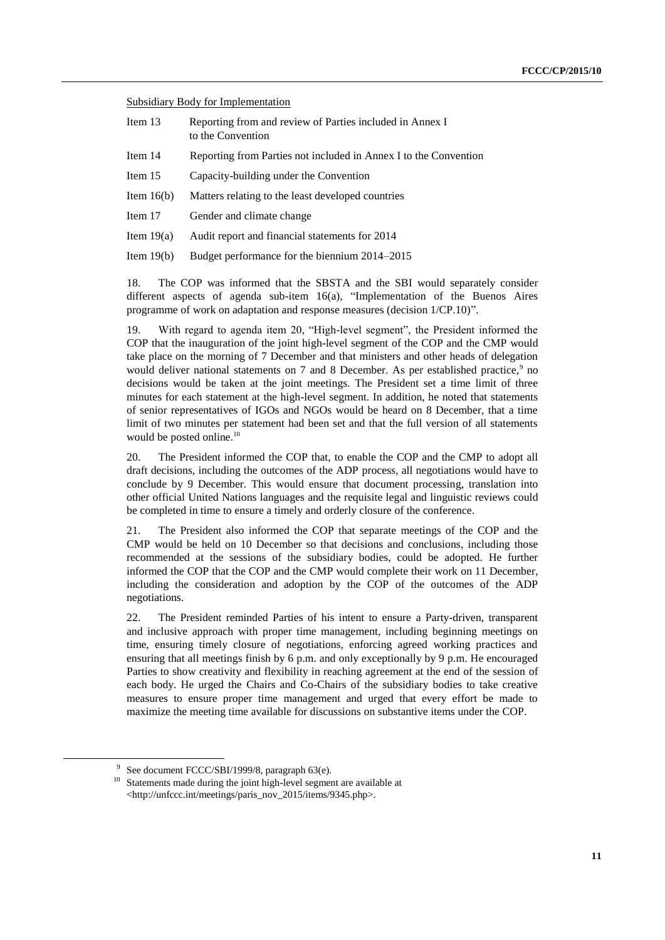Subsidiary Body for Implementation

- Item 13 Reporting from and review of Parties included in Annex I to the Convention
- Item 14 Reporting from Parties not included in Annex I to the Convention
- Item 15 Capacity-building under the Convention
- Item 16(b) Matters relating to the least developed countries
- Item 17 Gender and climate change
- Item 19(a) Audit report and financial statements for 2014
- Item 19(b) Budget performance for the biennium 2014–2015

18. The COP was informed that the SBSTA and the SBI would separately consider different aspects of agenda sub-item 16(a), "Implementation of the Buenos Aires programme of work on adaptation and response measures (decision 1/CP.10)".

19. With regard to agenda item 20, "High-level segment", the President informed the COP that the inauguration of the joint high-level segment of the COP and the CMP would take place on the morning of 7 December and that ministers and other heads of delegation would deliver national statements on  $7$  and  $8$  December. As per established practice, $9$  no decisions would be taken at the joint meetings. The President set a time limit of three minutes for each statement at the high-level segment. In addition, he noted that statements of senior representatives of IGOs and NGOs would be heard on 8 December, that a time limit of two minutes per statement had been set and that the full version of all statements would be posted online.<sup>10</sup>

20. The President informed the COP that, to enable the COP and the CMP to adopt all draft decisions, including the outcomes of the ADP process, all negotiations would have to conclude by 9 December. This would ensure that document processing, translation into other official United Nations languages and the requisite legal and linguistic reviews could be completed in time to ensure a timely and orderly closure of the conference.

21. The President also informed the COP that separate meetings of the COP and the CMP would be held on 10 December so that decisions and conclusions, including those recommended at the sessions of the subsidiary bodies, could be adopted. He further informed the COP that the COP and the CMP would complete their work on 11 December, including the consideration and adoption by the COP of the outcomes of the ADP negotiations.

22. The President reminded Parties of his intent to ensure a Party-driven, transparent and inclusive approach with proper time management, including beginning meetings on time, ensuring timely closure of negotiations, enforcing agreed working practices and ensuring that all meetings finish by 6 p.m. and only exceptionally by 9 p.m. He encouraged Parties to show creativity and flexibility in reaching agreement at the end of the session of each body. He urged the Chairs and Co-Chairs of the subsidiary bodies to take creative measures to ensure proper time management and urged that every effort be made to maximize the meeting time available for discussions on substantive items under the COP.

1

<sup>&</sup>lt;sup>9</sup> See document FCCC/SBI/1999/8, paragraph 63(e).

<sup>&</sup>lt;sup>10</sup> Statements made during the joint high-level segment are available at <http://unfccc.int/meetings/paris\_nov\_2015/items/9345.php>.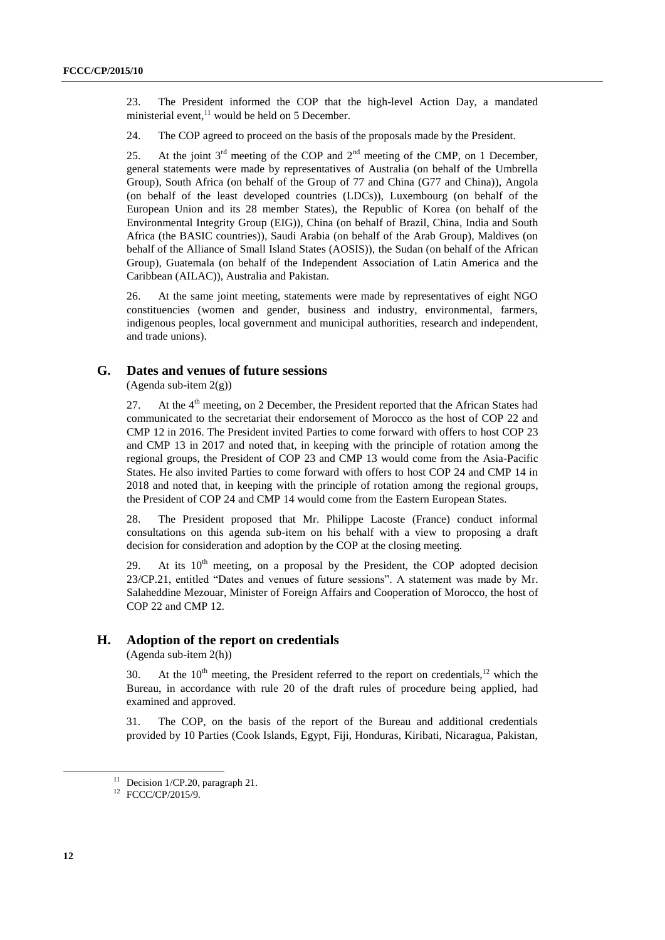23. The President informed the COP that the high-level Action Day, a mandated ministerial event,<sup>11</sup> would be held on 5 December.

24. The COP agreed to proceed on the basis of the proposals made by the President.

25. At the joint  $3<sup>rd</sup>$  meeting of the COP and  $2<sup>nd</sup>$  meeting of the CMP, on 1 December, general statements were made by representatives of Australia (on behalf of the Umbrella Group), South Africa (on behalf of the Group of 77 and China (G77 and China)), Angola (on behalf of the least developed countries (LDCs)), Luxembourg (on behalf of the European Union and its 28 member States), the Republic of Korea (on behalf of the Environmental Integrity Group (EIG)), China (on behalf of Brazil, China, India and South Africa (the BASIC countries)), Saudi Arabia (on behalf of the Arab Group), Maldives (on behalf of the Alliance of Small Island States (AOSIS)), the Sudan (on behalf of the African Group), Guatemala (on behalf of the Independent Association of Latin America and the Caribbean (AILAC)), Australia and Pakistan.

26. At the same joint meeting, statements were made by representatives of eight NGO constituencies (women and gender, business and industry, environmental, farmers, indigenous peoples, local government and municipal authorities, research and independent, and trade unions).

#### **G. Dates and venues of future sessions**

(Agenda sub-item 2(g))

27. At the  $4<sup>th</sup>$  meeting, on 2 December, the President reported that the African States had communicated to the secretariat their endorsement of Morocco as the host of COP 22 and CMP 12 in 2016. The President invited Parties to come forward with offers to host COP 23 and CMP 13 in 2017 and noted that, in keeping with the principle of rotation among the regional groups, the President of COP 23 and CMP 13 would come from the Asia-Pacific States. He also invited Parties to come forward with offers to host COP 24 and CMP 14 in 2018 and noted that, in keeping with the principle of rotation among the regional groups, the President of COP 24 and CMP 14 would come from the Eastern European States.

28. The President proposed that Mr. Philippe Lacoste (France) conduct informal consultations on this agenda sub-item on his behalf with a view to proposing a draft decision for consideration and adoption by the COP at the closing meeting.

29. At its  $10<sup>th</sup>$  meeting, on a proposal by the President, the COP adopted decision 23/CP.21, entitled "Dates and venues of future sessions". A statement was made by Mr. Salaheddine Mezouar, Minister of Foreign Affairs and Cooperation of Morocco, the host of COP 22 and CMP 12.

#### **H. Adoption of the report on credentials**

(Agenda sub-item 2(h))

30. At the  $10<sup>th</sup>$  meeting, the President referred to the report on credentials,<sup>12</sup> which the Bureau, in accordance with rule 20 of the draft rules of procedure being applied, had examined and approved.

31. The COP, on the basis of the report of the Bureau and additional credentials provided by 10 Parties (Cook Islands, Egypt, Fiji, Honduras, Kiribati, Nicaragua, Pakistan,

 $11$  Decision 1/CP.20, paragraph 21.

<sup>12</sup> FCCC/CP/2015/9.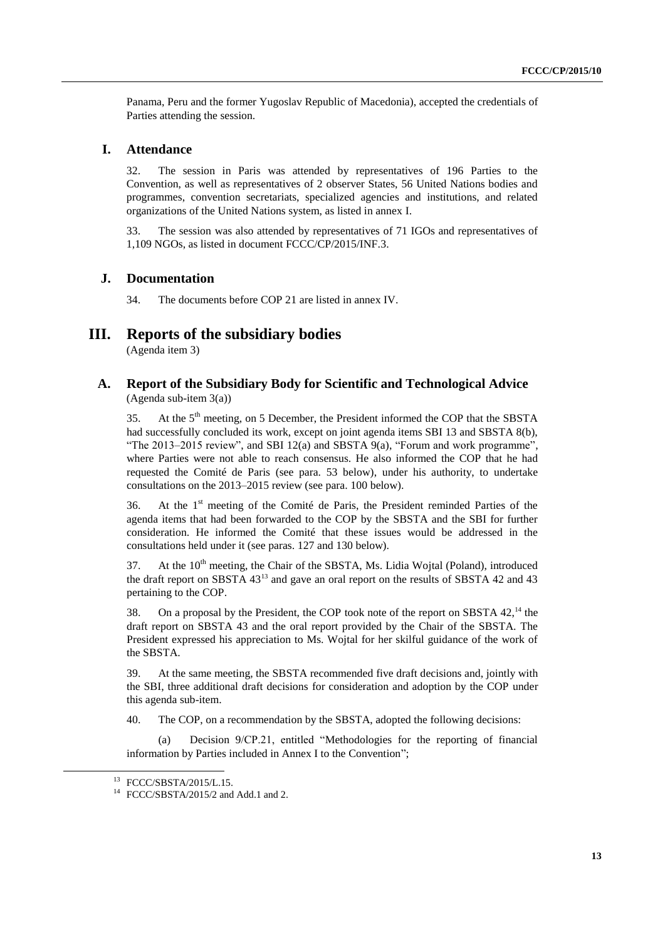Panama, Peru and the former Yugoslav Republic of Macedonia), accepted the credentials of Parties attending the session.

#### **I. Attendance**

32. The session in Paris was attended by representatives of 196 Parties to the Convention, as well as representatives of 2 observer States, 56 United Nations bodies and programmes, convention secretariats, specialized agencies and institutions, and related organizations of the United Nations system, as listed in annex I.

33. The session was also attended by representatives of 71 IGOs and representatives of 1,109 NGOs, as listed in document FCCC/CP/2015/INF.3.

#### **J. Documentation**

34. The documents before COP 21 are listed in annex IV.

# **III. Reports of the subsidiary bodies**

(Agenda item 3)

#### **A. Report of the Subsidiary Body for Scientific and Technological Advice** (Agenda sub-item 3(a))

35. At the 5<sup>th</sup> meeting, on 5 December, the President informed the COP that the SBSTA had successfully concluded its work, except on joint agenda items SBI 13 and SBSTA 8(b), "The 2013–2015 review", and SBI 12(a) and SBSTA 9(a), "Forum and work programme", where Parties were not able to reach consensus. He also informed the COP that he had requested the Comité de Paris (see para. 53 below), under his authority, to undertake consultations on the 2013–2015 review (see para. 100 below).

36. At the 1<sup>st</sup> meeting of the Comité de Paris, the President reminded Parties of the agenda items that had been forwarded to the COP by the SBSTA and the SBI for further consideration. He informed the Comité that these issues would be addressed in the consultations held under it (see paras. 127 and 130 below).

37. At the  $10<sup>th</sup>$  meeting, the Chair of the SBSTA, Ms. Lidia Wojtal (Poland), introduced the draft report on SBSTA 43<sup>13</sup> and gave an oral report on the results of SBSTA 42 and 43 pertaining to the COP.

38. On a proposal by the President, the COP took note of the report on SBSTA 42,<sup>14</sup> the draft report on SBSTA 43 and the oral report provided by the Chair of the SBSTA. The President expressed his appreciation to Ms. Wojtal for her skilful guidance of the work of the SBSTA.

39. At the same meeting, the SBSTA recommended five draft decisions and, jointly with the SBI, three additional draft decisions for consideration and adoption by the COP under this agenda sub-item.

40. The COP, on a recommendation by the SBSTA, adopted the following decisions:

(a) Decision 9/CP.21, entitled "Methodologies for the reporting of financial information by Parties included in Annex I to the Convention";

<sup>13</sup> FCCC/SBSTA/2015/L.15.

<sup>14</sup> FCCC/SBSTA/2015/2 and Add.1 and 2.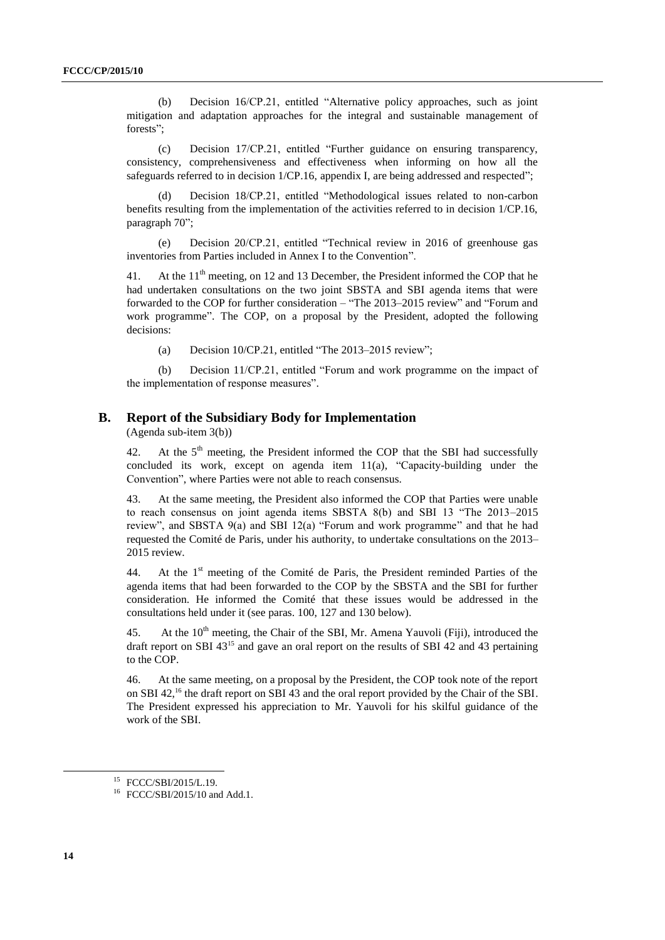(b) Decision 16/CP.21, entitled "Alternative policy approaches, such as joint mitigation and adaptation approaches for the integral and sustainable management of forests";

(c) Decision 17/CP.21, entitled "Further guidance on ensuring transparency, consistency, comprehensiveness and effectiveness when informing on how all the safeguards referred to in decision 1/CP.16, appendix I, are being addressed and respected";

(d) Decision 18/CP.21, entitled "Methodological issues related to non-carbon benefits resulting from the implementation of the activities referred to in decision 1/CP.16, paragraph 70";

(e) Decision 20/CP.21, entitled "Technical review in 2016 of greenhouse gas inventories from Parties included in Annex I to the Convention".

41. At the  $11<sup>th</sup>$  meeting, on 12 and 13 December, the President informed the COP that he had undertaken consultations on the two joint SBSTA and SBI agenda items that were forwarded to the COP for further consideration – "The 2013–2015 review" and "Forum and work programme". The COP, on a proposal by the President, adopted the following decisions:

(a) Decision 10/CP.21, entitled "The 2013–2015 review";

(b) Decision 11/CP.21, entitled "Forum and work programme on the impact of the implementation of response measures".

#### **B. Report of the Subsidiary Body for Implementation**

(Agenda sub-item 3(b))

42. At the  $5<sup>th</sup>$  meeting, the President informed the COP that the SBI had successfully concluded its work, except on agenda item 11(a), "Capacity-building under the Convention", where Parties were not able to reach consensus.

43. At the same meeting, the President also informed the COP that Parties were unable to reach consensus on joint agenda items SBSTA 8(b) and SBI 13 "The 2013–2015 review", and SBSTA 9(a) and SBI 12(a) "Forum and work programme" and that he had requested the Comité de Paris, under his authority, to undertake consultations on the 2013– 2015 review.

44. At the 1<sup>st</sup> meeting of the Comité de Paris, the President reminded Parties of the agenda items that had been forwarded to the COP by the SBSTA and the SBI for further consideration. He informed the Comité that these issues would be addressed in the consultations held under it (see paras. 100, 127 and 130 below).

45. At the  $10<sup>th</sup>$  meeting, the Chair of the SBI, Mr. Amena Yauvoli (Fiji), introduced the draft report on SBI 43<sup>15</sup> and gave an oral report on the results of SBI 42 and 43 pertaining to the COP.

46. At the same meeting, on a proposal by the President, the COP took note of the report on SBI 42,<sup>16</sup> the draft report on SBI 43 and the oral report provided by the Chair of the SBI. The President expressed his appreciation to Mr. Yauvoli for his skilful guidance of the work of the SBI.

<sup>15</sup> FCCC/SBI/2015/L.19.

<sup>&</sup>lt;sup>16</sup> FCCC/SBI/2015/10 and Add.1.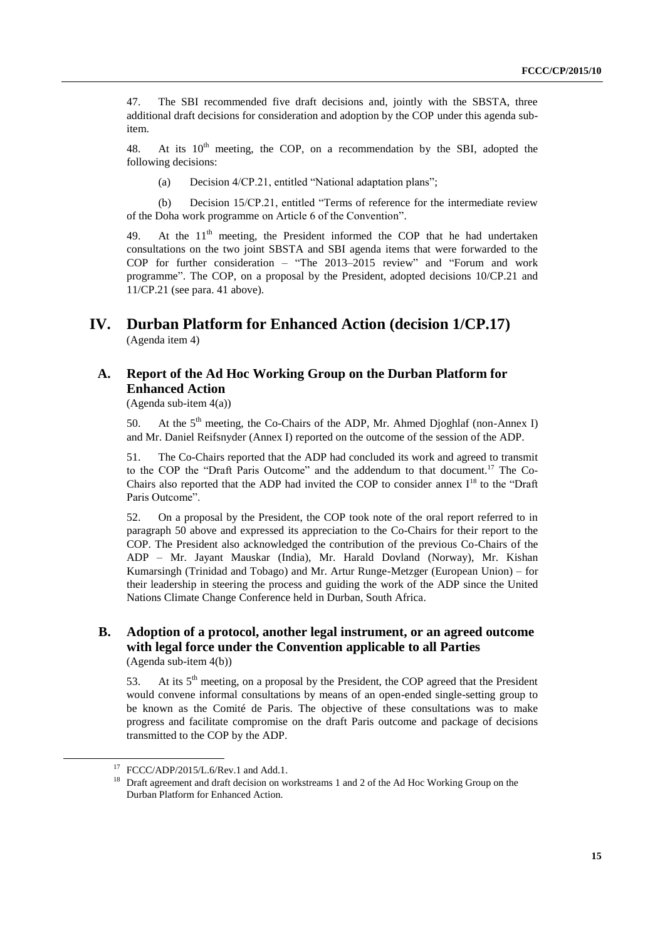47. The SBI recommended five draft decisions and, jointly with the SBSTA, three additional draft decisions for consideration and adoption by the COP under this agenda subitem.

48. At its  $10<sup>th</sup>$  meeting, the COP, on a recommendation by the SBI, adopted the following decisions:

(a) Decision 4/CP.21, entitled "National adaptation plans";

(b) Decision 15/CP.21, entitled "Terms of reference for the intermediate review of the Doha work programme on Article 6 of the Convention".

49. At the  $11<sup>th</sup>$  meeting, the President informed the COP that he had undertaken consultations on the two joint SBSTA and SBI agenda items that were forwarded to the COP for further consideration – "The 2013–2015 review" and "Forum and work programme". The COP, on a proposal by the President, adopted decisions 10/CP.21 and 11/CP.21 (see para. 41 above).

### **IV. Durban Platform for Enhanced Action (decision 1/CP.17)** (Agenda item 4)

# **A. Report of the Ad Hoc Working Group on the Durban Platform for Enhanced Action**

(Agenda sub-item 4(a))

50. At the  $5<sup>th</sup>$  meeting, the Co-Chairs of the ADP, Mr. Ahmed Djoghlaf (non-Annex I) and Mr. Daniel Reifsnyder (Annex I) reported on the outcome of the session of the ADP.

51. The Co-Chairs reported that the ADP had concluded its work and agreed to transmit to the COP the "Draft Paris Outcome" and the addendum to that document. <sup>17</sup> The Co-Chairs also reported that the ADP had invited the COP to consider annex  $I^{18}$  to the "Draft" Paris Outcome".

52. On a proposal by the President, the COP took note of the oral report referred to in paragraph 50 above and expressed its appreciation to the Co-Chairs for their report to the COP. The President also acknowledged the contribution of the previous Co-Chairs of the ADP – Mr. Jayant Mauskar (India), Mr. Harald Dovland (Norway), Mr. Kishan Kumarsingh (Trinidad and Tobago) and Mr. Artur Runge-Metzger (European Union) – for their leadership in steering the process and guiding the work of the ADP since the United Nations Climate Change Conference held in Durban, South Africa.

#### **B. Adoption of a protocol, another legal instrument, or an agreed outcome with legal force under the Convention applicable to all Parties** (Agenda sub-item 4(b))

1

53. At its  $5<sup>th</sup>$  meeting, on a proposal by the President, the COP agreed that the President would convene informal consultations by means of an open-ended single-setting group to be known as the Comité de Paris. The objective of these consultations was to make progress and facilitate compromise on the draft Paris outcome and package of decisions transmitted to the COP by the ADP.

 $17$  FCCC/ADP/2015/L.6/Rev.1 and Add.1.

<sup>&</sup>lt;sup>18</sup> Draft agreement and draft decision on workstreams 1 and 2 of the Ad Hoc Working Group on the Durban Platform for Enhanced Action.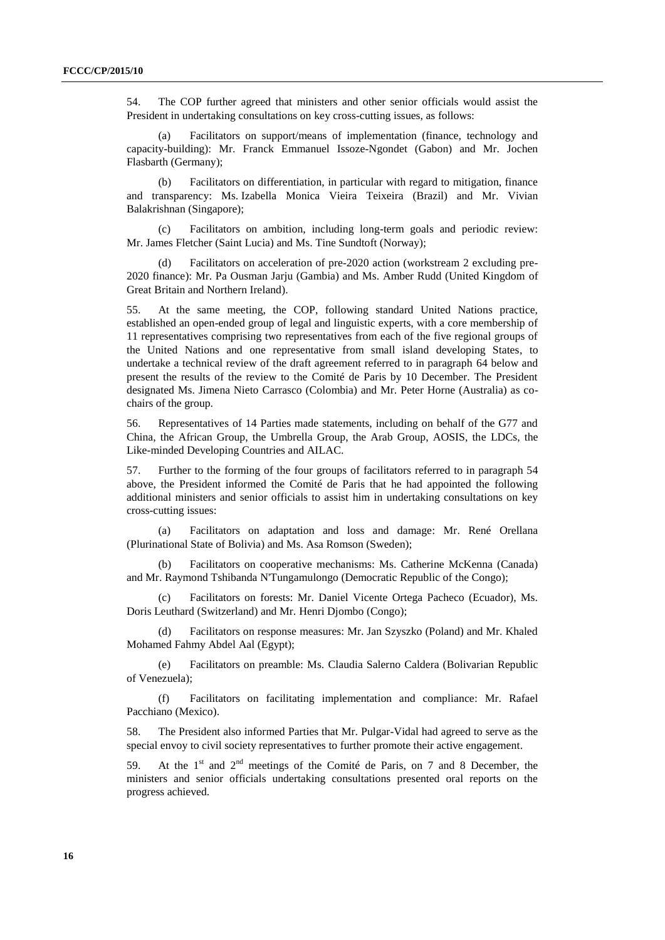54. The COP further agreed that ministers and other senior officials would assist the President in undertaking consultations on key cross-cutting issues, as follows:

(a) Facilitators on support/means of implementation (finance, technology and capacity-building): Mr. Franck Emmanuel Issoze-Ngondet (Gabon) and Mr. Jochen Flasbarth (Germany);

(b) Facilitators on differentiation, in particular with regard to mitigation, finance and transparency: Ms. Izabella Monica Vieira Teixeira (Brazil) and Mr. Vivian Balakrishnan (Singapore);

(c) Facilitators on ambition, including long-term goals and periodic review: Mr. James Fletcher (Saint Lucia) and Ms. Tine Sundtoft (Norway);

Facilitators on acceleration of pre-2020 action (workstream 2 excluding pre-2020 finance): Mr. Pa Ousman Jarju (Gambia) and Ms. Amber Rudd (United Kingdom of Great Britain and Northern Ireland).

55. At the same meeting, the COP, following standard United Nations practice, established an open-ended group of legal and linguistic experts, with a core membership of 11 representatives comprising two representatives from each of the five regional groups of the United Nations and one representative from small island developing States, to undertake a technical review of the draft agreement referred to in paragraph 64 below and present the results of the review to the Comité de Paris by 10 December. The President designated Ms. Jimena Nieto Carrasco (Colombia) and Mr. Peter Horne (Australia) as cochairs of the group.

56. Representatives of 14 Parties made statements, including on behalf of the G77 and China, the African Group, the Umbrella Group, the Arab Group, AOSIS, the LDCs, the Like-minded Developing Countries and AILAC.

57. Further to the forming of the four groups of facilitators referred to in paragraph 54 above, the President informed the Comité de Paris that he had appointed the following additional ministers and senior officials to assist him in undertaking consultations on key cross-cutting issues:

(a) Facilitators on adaptation and loss and damage: Mr. René Orellana (Plurinational State of Bolivia) and Ms. Asa Romson (Sweden);

(b) Facilitators on cooperative mechanisms: Ms. Catherine McKenna (Canada) and Mr. Raymond Tshibanda N'Tungamulongo (Democratic Republic of the Congo);

(c) Facilitators on forests: Mr. Daniel Vicente Ortega Pacheco (Ecuador), Ms. Doris Leuthard (Switzerland) and Mr. Henri Djombo (Congo);

(d) Facilitators on response measures: Mr. Jan Szyszko (Poland) and Mr. Khaled Mohamed Fahmy Abdel Aal (Egypt);

(e) Facilitators on preamble: Ms. Claudia Salerno Caldera (Bolivarian Republic of Venezuela);

(f) Facilitators on facilitating implementation and compliance: Mr. Rafael Pacchiano (Mexico).

58. The President also informed Parties that Mr. Pulgar-Vidal had agreed to serve as the special envoy to civil society representatives to further promote their active engagement.

59. At the  $1<sup>st</sup>$  and  $2<sup>nd</sup>$  meetings of the Comité de Paris, on 7 and 8 December, the ministers and senior officials undertaking consultations presented oral reports on the progress achieved.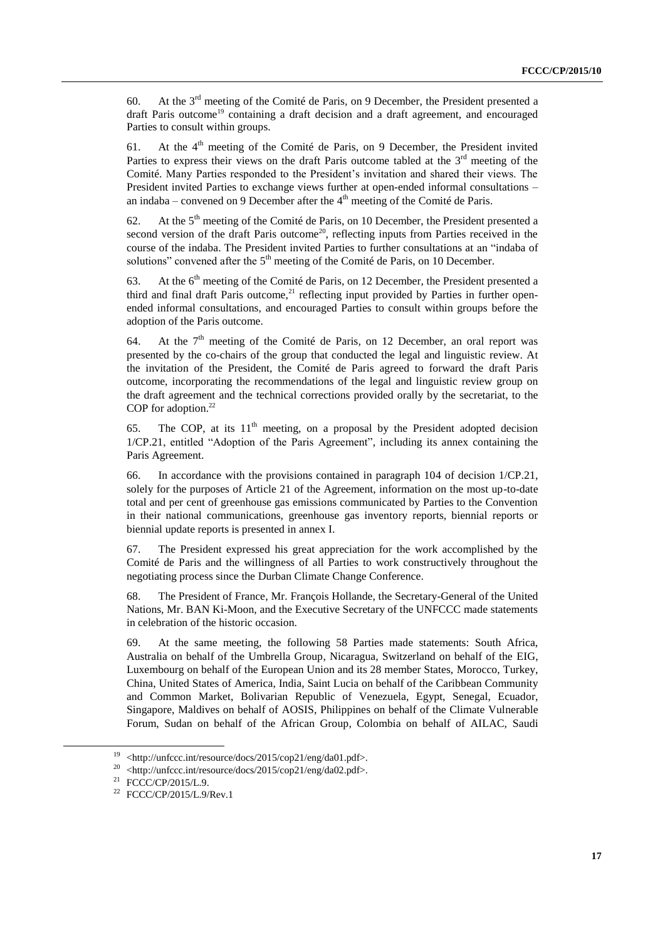60. At the 3rd meeting of the Comité de Paris*,* on 9 December, the President presented a draft Paris outcome<sup>19</sup> containing a draft decision and a draft agreement, and encouraged Parties to consult within groups.

61. At the  $4<sup>th</sup>$  meeting of the Comité de Paris, on 9 December, the President invited Parties to express their views on the draft Paris outcome tabled at the 3<sup>rd</sup> meeting of the Comité. Many Parties responded to the President's invitation and shared their views. The President invited Parties to exchange views further at open-ended informal consultations – an indaba – convened on 9 December after the  $4<sup>th</sup>$  meeting of the Comité de Paris.

62. At the  $5<sup>th</sup>$  meeting of the Comité de Paris, on 10 December, the President presented a second version of the draft Paris outcome<sup>20</sup>, reflecting inputs from Parties received in the course of the indaba. The President invited Parties to further consultations at an "indaba of solutions" convened after the  $5<sup>th</sup>$  meeting of the Comité de Paris, on 10 December.

63. At the 6<sup>th</sup> meeting of the Comité de Paris, on 12 December, the President presented a third and final draft Paris outcome,<sup>21</sup> reflecting input provided by Parties in further openended informal consultations, and encouraged Parties to consult within groups before the adoption of the Paris outcome.

64. At the  $7<sup>th</sup>$  meeting of the Comité de Paris, on 12 December, an oral report was presented by the co-chairs of the group that conducted the legal and linguistic review. At the invitation of the President, the Comité de Paris agreed to forward the draft Paris outcome, incorporating the recommendations of the legal and linguistic review group on the draft agreement and the technical corrections provided orally by the secretariat, to the COP for adoption. 22

65. The COP, at its  $11<sup>th</sup>$  meeting, on a proposal by the President adopted decision 1/CP.21, entitled "Adoption of the Paris Agreement", including its annex containing the Paris Agreement.

66. In accordance with the provisions contained in paragraph 104 of decision 1/CP.21, solely for the purposes of Article 21 of the Agreement, information on the most up-to-date total and per cent of greenhouse gas emissions communicated by Parties to the Convention in their national communications, greenhouse gas inventory reports, biennial reports or biennial update reports is presented in annex I.

67. The President expressed his great appreciation for the work accomplished by the Comité de Paris and the willingness of all Parties to work constructively throughout the negotiating process since the Durban Climate Change Conference.

68. The President of France, Mr. François Hollande, the Secretary-General of the United Nations, Mr. BAN Ki-Moon, and the Executive Secretary of the UNFCCC made statements in celebration of the historic occasion.

69. At the same meeting, the following 58 Parties made statements: South Africa, Australia on behalf of the Umbrella Group, Nicaragua, Switzerland on behalf of the EIG, Luxembourg on behalf of the European Union and its 28 member States, Morocco, Turkey, China, United States of America, India, Saint Lucia on behalf of the Caribbean Community and Common Market, Bolivarian Republic of Venezuela, Egypt, Senegal, Ecuador, Singapore, Maldives on behalf of AOSIS, Philippines on behalf of the Climate Vulnerable Forum, Sudan on behalf of the African Group, Colombia on behalf of AILAC, Saudi

<sup>19</sup> <http://unfccc.int/resource/docs/2015/cop21/eng/da01.pdf>.

<sup>20</sup> <http://unfccc.int/resource/docs/2015/cop21/eng/da02.pdf>.

<sup>21</sup> FCCC/CP/2015/L.9.

<sup>22</sup> FCCC/CP/2015/L.9/Rev.1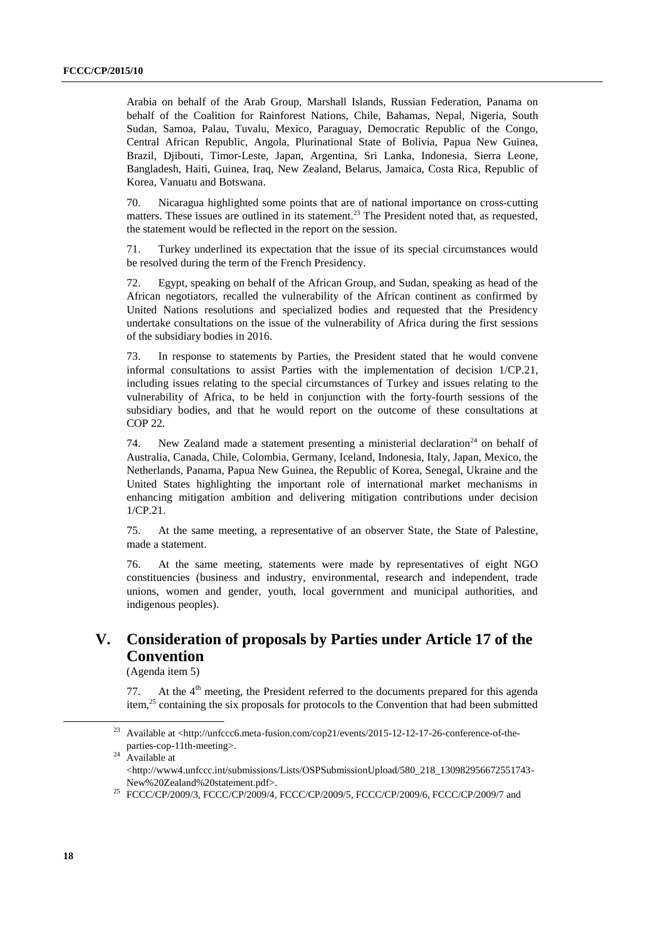Arabia on behalf of the Arab Group, Marshall Islands, Russian Federation, Panama on behalf of the Coalition for Rainforest Nations, Chile, Bahamas, Nepal, Nigeria, South Sudan, Samoa, Palau, Tuvalu, Mexico, Paraguay, Democratic Republic of the Congo, Central African Republic, Angola, Plurinational State of Bolivia, Papua New Guinea, Brazil, Djibouti, Timor-Leste, Japan, Argentina, Sri Lanka, Indonesia, Sierra Leone, Bangladesh, Haiti, Guinea, Iraq, New Zealand, Belarus, Jamaica, Costa Rica, Republic of Korea, Vanuatu and Botswana.

70. Nicaragua highlighted some points that are of national importance on cross-cutting matters. These issues are outlined in its statement.<sup>23</sup> The President noted that, as requested, the statement would be reflected in the report on the session.

71. Turkey underlined its expectation that the issue of its special circumstances would be resolved during the term of the French Presidency.

72. Egypt, speaking on behalf of the African Group, and Sudan, speaking as head of the African negotiators, recalled the vulnerability of the African continent as confirmed by United Nations resolutions and specialized bodies and requested that the Presidency undertake consultations on the issue of the vulnerability of Africa during the first sessions of the subsidiary bodies in 2016.

73. In response to statements by Parties, the President stated that he would convene informal consultations to assist Parties with the implementation of decision 1/CP.21, including issues relating to the special circumstances of Turkey and issues relating to the vulnerability of Africa, to be held in conjunction with the forty-fourth sessions of the subsidiary bodies, and that he would report on the outcome of these consultations at COP 22.

74. New Zealand made a statement presenting a ministerial declaration<sup>24</sup> on behalf of Australia, Canada, Chile, Colombia, Germany, Iceland, Indonesia, Italy, Japan, Mexico, the Netherlands, Panama, Papua New Guinea, the Republic of Korea, Senegal, Ukraine and the United States highlighting the important role of international market mechanisms in enhancing mitigation ambition and delivering mitigation contributions under decision 1/CP.21.

75. At the same meeting, a representative of an observer State, the State of Palestine, made a statement.

76. At the same meeting, statements were made by representatives of eight NGO constituencies (business and industry, environmental, research and independent, trade unions, women and gender, youth, local government and municipal authorities, and indigenous peoples).

# **V. Consideration of proposals by Parties under Article 17 of the Convention**

(Agenda item 5)

77. At the  $4<sup>th</sup>$  meeting, the President referred to the documents prepared for this agenda item,<sup>25</sup> containing the six proposals for protocols to the Convention that had been submitted

 $24$  Available at

<http://www4.unfccc.int/submissions/Lists/OSPSubmissionUpload/580\_218\_130982956672551743- New%20Zealand%20statement.pdf>.

1

<sup>&</sup>lt;sup>23</sup> Available at <http://unfccc6.meta-fusion.com/cop21/events/2015-12-12-17-26-conference-of-theparties-cop-11th-meeting>.

<sup>&</sup>lt;sup>25</sup> FCCC/CP/2009/3, FCCC/CP/2009/4, FCCC/CP/2009/5, FCCC/CP/2009/6, FCCC/CP/2009/7 and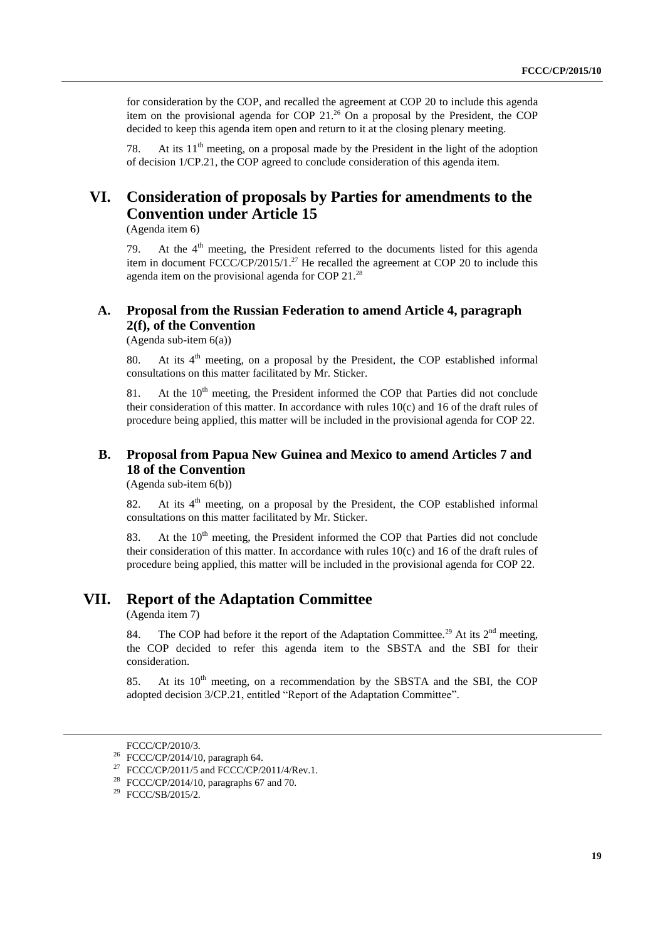for consideration by the COP, and recalled the agreement at COP 20 to include this agenda item on the provisional agenda for COP  $21.^{26}$  On a proposal by the President, the COP decided to keep this agenda item open and return to it at the closing plenary meeting.

78. At its  $11<sup>th</sup>$  meeting, on a proposal made by the President in the light of the adoption of decision 1/CP.21, the COP agreed to conclude consideration of this agenda item.

# **VI. Consideration of proposals by Parties for amendments to the Convention under Article 15**

(Agenda item 6)

79. At the  $4<sup>th</sup>$  meeting, the President referred to the documents listed for this agenda item in document  $FCCC/CP/2015/1.^{27}$  He recalled the agreement at COP 20 to include this agenda item on the provisional agenda for COP 21.<sup>28</sup>

### **A. Proposal from the Russian Federation to amend Article 4, paragraph 2(f), of the Convention**

(Agenda sub-item 6(a))

80. At its 4<sup>th</sup> meeting, on a proposal by the President, the COP established informal consultations on this matter facilitated by Mr. Sticker.

81. At the  $10<sup>th</sup>$  meeting, the President informed the COP that Parties did not conclude their consideration of this matter. In accordance with rules 10(c) and 16 of the draft rules of procedure being applied, this matter will be included in the provisional agenda for COP 22.

# **B. Proposal from Papua New Guinea and Mexico to amend Articles 7 and 18 of the Convention**

(Agenda sub-item 6(b))

82. At its 4<sup>th</sup> meeting, on a proposal by the President, the COP established informal consultations on this matter facilitated by Mr. Sticker.

83. At the  $10<sup>th</sup>$  meeting, the President informed the COP that Parties did not conclude their consideration of this matter. In accordance with rules  $10(c)$  and 16 of the draft rules of procedure being applied, this matter will be included in the provisional agenda for COP 22.

# **VII. Report of the Adaptation Committee**

(Agenda item 7)

84. The COP had before it the report of the Adaptation Committee.<sup>29</sup> At its  $2<sup>nd</sup>$  meeting, the COP decided to refer this agenda item to the SBSTA and the SBI for their consideration.

85. At its  $10<sup>th</sup>$  meeting, on a recommendation by the SBSTA and the SBI, the COP adopted decision 3/CP.21, entitled "Report of the Adaptation Committee".

FCCC/CP/2010/3.

<sup>26</sup> FCCC/CP/2014/10, paragraph 64.

<sup>&</sup>lt;sup>27</sup> FCCC/CP/2011/5 and FCCC/CP/2011/4/Rev.1.

<sup>&</sup>lt;sup>28</sup> FCCC/CP/2014/10, paragraphs 67 and 70.

 $29$  FCCC/SB/2015/2.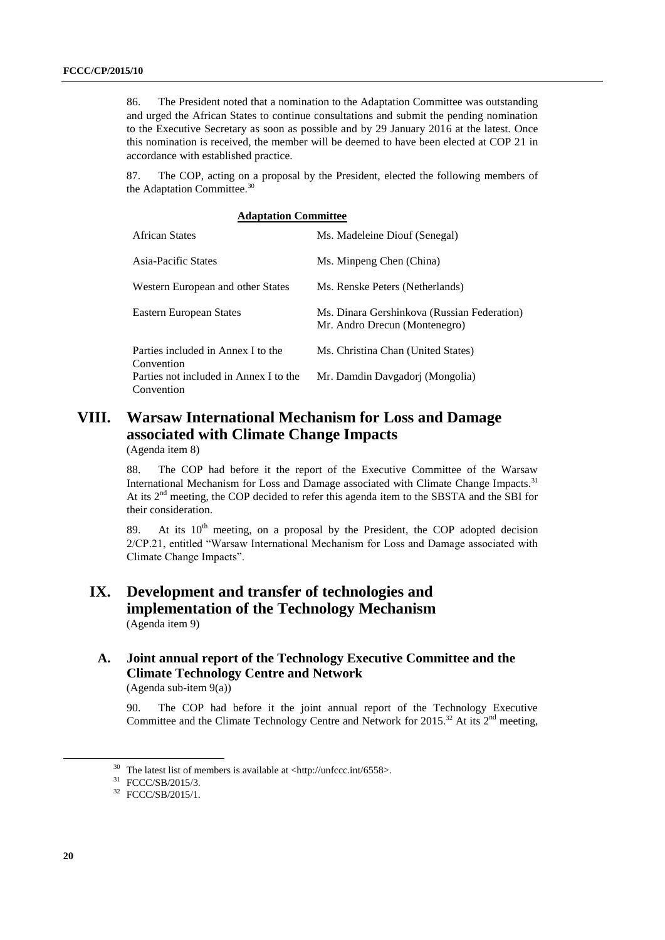86. The President noted that a nomination to the Adaptation Committee was outstanding and urged the African States to continue consultations and submit the pending nomination to the Executive Secretary as soon as possible and by 29 January 2016 at the latest. Once this nomination is received, the member will be deemed to have been elected at COP 21 in accordance with established practice.

87. The COP, acting on a proposal by the President, elected the following members of the Adaptation Committee.<sup>30</sup>

| <b>Adaptation Committee</b>                          |                                                                              |  |  |  |
|------------------------------------------------------|------------------------------------------------------------------------------|--|--|--|
| <b>African States</b>                                | Ms. Madeleine Diouf (Senegal)                                                |  |  |  |
| Asia-Pacific States                                  | Ms. Minpeng Chen (China)                                                     |  |  |  |
| Western European and other States                    | Ms. Renske Peters (Netherlands)                                              |  |  |  |
| Eastern European States                              | Ms. Dinara Gershinkova (Russian Federation)<br>Mr. Andro Drecun (Montenegro) |  |  |  |
| Parties included in Annex I to the<br>Convention     | Ms. Christina Chan (United States)                                           |  |  |  |
| Parties not included in Annex I to the<br>Convention | Mr. Damdin Davgadorj (Mongolia)                                              |  |  |  |
|                                                      |                                                                              |  |  |  |

# **VIII. Warsaw International Mechanism for Loss and Damage associated with Climate Change Impacts**

(Agenda item 8)

88. The COP had before it the report of the Executive Committee of the Warsaw International Mechanism for Loss and Damage associated with Climate Change Impacts.<sup>31</sup> At its  $2<sup>nd</sup>$  meeting, the COP decided to refer this agenda item to the SBSTA and the SBI for their consideration.

89. At its  $10<sup>th</sup>$  meeting, on a proposal by the President, the COP adopted decision 2/CP.21, entitled "Warsaw International Mechanism for Loss and Damage associated with Climate Change Impacts".

# **IX. Development and transfer of technologies and implementation of the Technology Mechanism** (Agenda item 9)

# **A. Joint annual report of the Technology Executive Committee and the Climate Technology Centre and Network**

(Agenda sub-item 9(a))

90. The COP had before it the joint annual report of the Technology Executive Committee and the Climate Technology Centre and Network for 2015.<sup>32</sup> At its  $2<sup>nd</sup>$  meeting,

1

 $30$  The latest list of members is available at <http://unfccc.int/6558>.

<sup>31</sup> FCCC/SB/2015/3.

<sup>&</sup>lt;sup>32</sup> FCCC/SB/2015/1.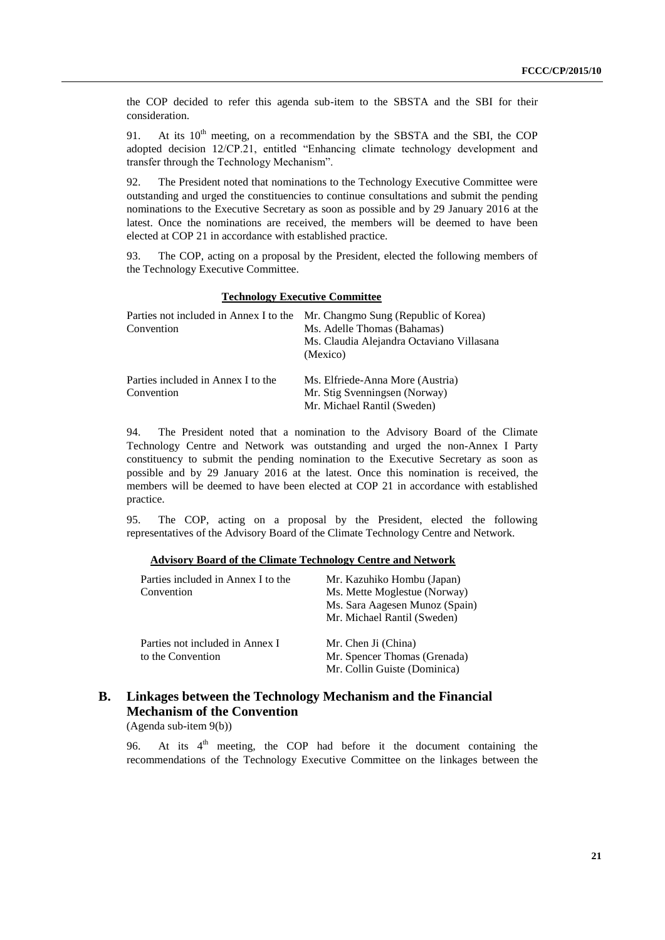the COP decided to refer this agenda sub-item to the SBSTA and the SBI for their consideration.

91. At its  $10^{th}$  meeting, on a recommendation by the SBSTA and the SBI, the COP adopted decision 12/CP.21, entitled "Enhancing climate technology development and transfer through the Technology Mechanism".

92. The President noted that nominations to the Technology Executive Committee were outstanding and urged the constituencies to continue consultations and submit the pending nominations to the Executive Secretary as soon as possible and by 29 January 2016 at the latest. Once the nominations are received, the members will be deemed to have been elected at COP 21 in accordance with established practice.

93. The COP, acting on a proposal by the President, elected the following members of the Technology Executive Committee.

#### **Technology Executive Committee**

| Parties not included in Annex I to the | Mr. Changmo Sung (Republic of Korea)      |
|----------------------------------------|-------------------------------------------|
| Convention                             | Ms. Adelle Thomas (Bahamas)               |
|                                        | Ms. Claudia Alejandra Octaviano Villasana |
|                                        | (Mexico)                                  |
| Parties included in Annex I to the     | Ms. Elfriede-Anna More (Austria)          |
| Convention                             | Mr. Stig Svenningsen (Norway)             |
|                                        | Mr. Michael Rantil (Sweden)               |

94. The President noted that a nomination to the Advisory Board of the Climate Technology Centre and Network was outstanding and urged the non-Annex I Party constituency to submit the pending nomination to the Executive Secretary as soon as possible and by 29 January 2016 at the latest. Once this nomination is received, the members will be deemed to have been elected at COP 21 in accordance with established practice.

95. The COP, acting on a proposal by the President, elected the following representatives of the Advisory Board of the Climate Technology Centre and Network.

| Parties included in Annex I to the<br>Convention     | Mr. Kazuhiko Hombu (Japan)<br>Ms. Mette Moglestue (Norway)<br>Ms. Sara Aagesen Munoz (Spain)<br>Mr. Michael Rantil (Sweden) |
|------------------------------------------------------|-----------------------------------------------------------------------------------------------------------------------------|
| Parties not included in Annex I<br>to the Convention | Mr. Chen Ji (China)<br>Mr. Spencer Thomas (Grenada)<br>Mr. Collin Guiste (Dominica)                                         |

# **B. Linkages between the Technology Mechanism and the Financial Mechanism of the Convention**

(Agenda sub-item 9(b))

96. At its  $4<sup>th</sup>$  meeting, the COP had before it the document containing the recommendations of the Technology Executive Committee on the linkages between the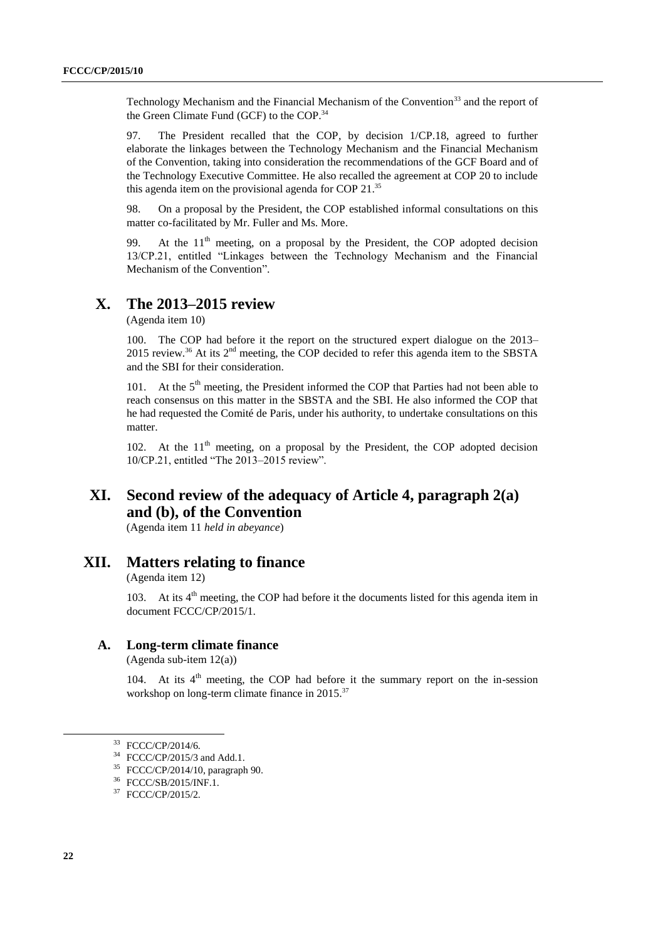Technology Mechanism and the Financial Mechanism of the Convention<sup>33</sup> and the report of the Green Climate Fund (GCF) to the COP.<sup>34</sup>

97. The President recalled that the COP, by decision 1/CP.18, agreed to further elaborate the linkages between the Technology Mechanism and the Financial Mechanism of the Convention, taking into consideration the recommendations of the GCF Board and of the Technology Executive Committee. He also recalled the agreement at COP 20 to include this agenda item on the provisional agenda for COP 21.<sup>35</sup>

98. On a proposal by the President, the COP established informal consultations on this matter co-facilitated by Mr. Fuller and Ms. More.

99. At the  $11<sup>th</sup>$  meeting, on a proposal by the President, the COP adopted decision 13/CP.21, entitled "Linkages between the Technology Mechanism and the Financial Mechanism of the Convention".

# **X. The 2013–2015 review**

(Agenda item 10)

100. The COP had before it the report on the structured expert dialogue on the 2013– 2015 review.<sup>36</sup> At its  $2<sup>nd</sup>$  meeting, the COP decided to refer this agenda item to the SBSTA and the SBI for their consideration.

101. At the  $5<sup>th</sup>$  meeting, the President informed the COP that Parties had not been able to reach consensus on this matter in the SBSTA and the SBI. He also informed the COP that he had requested the Comité de Paris, under his authority, to undertake consultations on this matter.

102. At the  $11<sup>th</sup>$  meeting, on a proposal by the President, the COP adopted decision 10/CP.21, entitled "The 2013–2015 review".

# **XI. Second review of the adequacy of Article 4, paragraph 2(a) and (b), of the Convention**

(Agenda item 11 *held in abeyance*)

### **XII. Matters relating to finance**

(Agenda item 12)

103. At its  $4<sup>th</sup>$  meeting, the COP had before it the documents listed for this agenda item in document FCCC/CP/2015/1.

### **A. Long-term climate finance**

(Agenda sub-item 12(a))

104. At its 4<sup>th</sup> meeting, the COP had before it the summary report on the in-session workshop on long-term climate finance in 2015.<sup>37</sup>

<sup>33</sup> FCCC/CP/2014/6.

<sup>34</sup> FCCC/CP/2015/3 and Add.1.

<sup>35</sup> FCCC/CP/2014/10, paragraph 90.

<sup>36</sup> FCCC/SB/2015/INF.1.

<sup>37</sup> FCCC/CP/2015/2.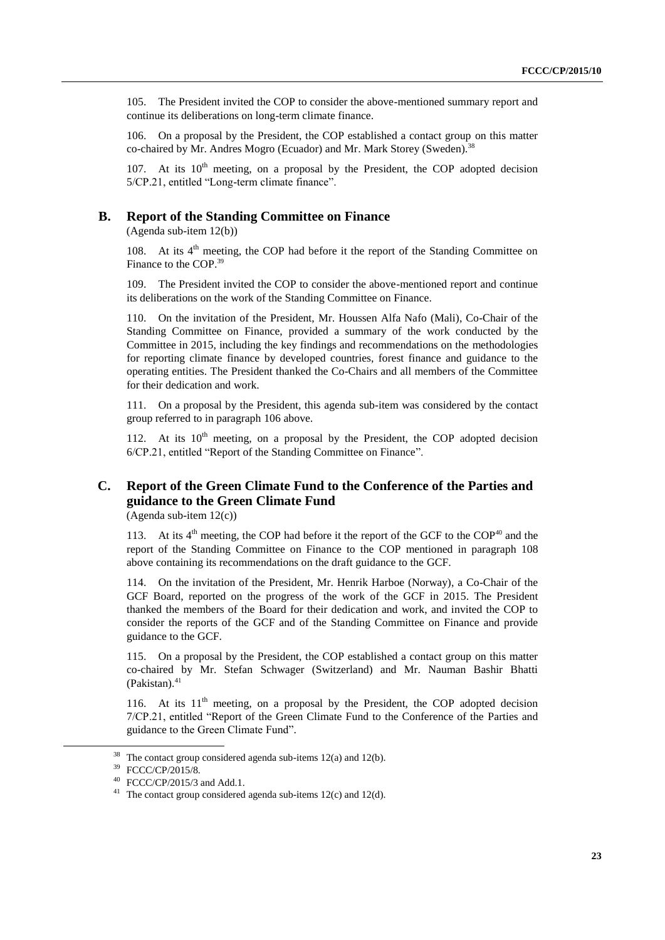105. The President invited the COP to consider the above-mentioned summary report and continue its deliberations on long-term climate finance.

106. On a proposal by the President, the COP established a contact group on this matter co-chaired by Mr. Andres Mogro (Ecuador) and Mr. Mark Storey (Sweden).<sup>38</sup>

107. At its  $10<sup>th</sup>$  meeting, on a proposal by the President, the COP adopted decision 5/CP.21, entitled "Long-term climate finance".

#### **B. Report of the Standing Committee on Finance**

(Agenda sub-item 12(b))

108. At its  $4<sup>th</sup>$  meeting, the COP had before it the report of the Standing Committee on Finance to the COP. 39

109. The President invited the COP to consider the above-mentioned report and continue its deliberations on the work of the Standing Committee on Finance.

110. On the invitation of the President, Mr. Houssen Alfa Nafo (Mali), Co-Chair of the Standing Committee on Finance, provided a summary of the work conducted by the Committee in 2015, including the key findings and recommendations on the methodologies for reporting climate finance by developed countries, forest finance and guidance to the operating entities. The President thanked the Co-Chairs and all members of the Committee for their dedication and work.

111. On a proposal by the President, this agenda sub-item was considered by the contact group referred to in paragraph 106 above.

112. At its  $10^{th}$  meeting, on a proposal by the President, the COP adopted decision 6/CP.21, entitled "Report of the Standing Committee on Finance".

# **C. Report of the Green Climate Fund to the Conference of the Parties and guidance to the Green Climate Fund**

(Agenda sub-item 12(c))

113. At its  $4<sup>th</sup>$  meeting, the COP had before it the report of the GCF to the COP<sup>40</sup> and the report of the Standing Committee on Finance to the COP mentioned in paragraph 108 above containing its recommendations on the draft guidance to the GCF.

114. On the invitation of the President, Mr. Henrik Harboe (Norway), a Co-Chair of the GCF Board, reported on the progress of the work of the GCF in 2015. The President thanked the members of the Board for their dedication and work, and invited the COP to consider the reports of the GCF and of the Standing Committee on Finance and provide guidance to the GCF.

115. On a proposal by the President, the COP established a contact group on this matter co-chaired by Mr. Stefan Schwager (Switzerland) and Mr. Nauman Bashir Bhatti (Pakistan). 41

116. At its  $11<sup>th</sup>$  meeting, on a proposal by the President, the COP adopted decision 7/CP.21, entitled "Report of the Green Climate Fund to the Conference of the Parties and guidance to the Green Climate Fund".

<sup>&</sup>lt;sup>38</sup> The contact group considered agenda sub-items  $12(a)$  and  $12(b)$ .

<sup>39</sup> FCCC/CP/2015/8.

<sup>40</sup> FCCC/CP/2015/3 and Add.1.

<sup>&</sup>lt;sup>41</sup> The contact group considered agenda sub-items  $12(c)$  and  $12(d)$ .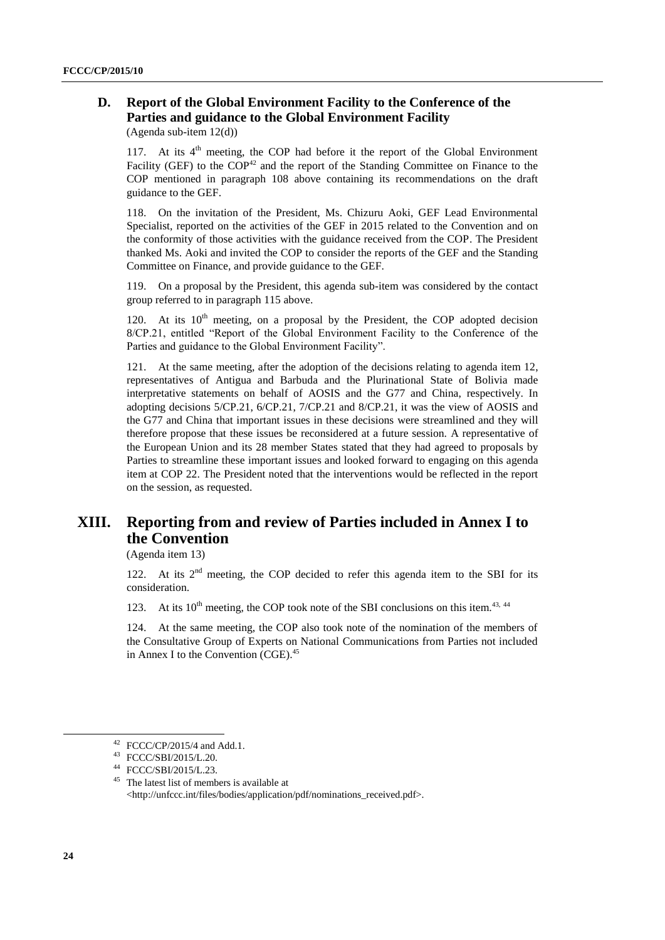# **D. Report of the Global Environment Facility to the Conference of the Parties and guidance to the Global Environment Facility**

(Agenda sub-item 12(d))

117. At its 4<sup>th</sup> meeting, the COP had before it the report of the Global Environment Facility (GEF) to the  $COP^{42}$  and the report of the Standing Committee on Finance to the COP mentioned in paragraph 108 above containing its recommendations on the draft guidance to the GEF.

118. On the invitation of the President, Ms. Chizuru Aoki, GEF Lead Environmental Specialist, reported on the activities of the GEF in 2015 related to the Convention and on the conformity of those activities with the guidance received from the COP. The President thanked Ms. Aoki and invited the COP to consider the reports of the GEF and the Standing Committee on Finance, and provide guidance to the GEF.

119. On a proposal by the President, this agenda sub-item was considered by the contact group referred to in paragraph 115 above.

120. At its  $10^{th}$  meeting, on a proposal by the President, the COP adopted decision 8/CP.21, entitled "Report of the Global Environment Facility to the Conference of the Parties and guidance to the Global Environment Facility".

121. At the same meeting, after the adoption of the decisions relating to agenda item 12, representatives of Antigua and Barbuda and the Plurinational State of Bolivia made interpretative statements on behalf of AOSIS and the G77 and China, respectively. In adopting decisions 5/CP.21, 6/CP.21, 7/CP.21 and 8/CP.21, it was the view of AOSIS and the G77 and China that important issues in these decisions were streamlined and they will therefore propose that these issues be reconsidered at a future session. A representative of the European Union and its 28 member States stated that they had agreed to proposals by Parties to streamline these important issues and looked forward to engaging on this agenda item at COP 22. The President noted that the interventions would be reflected in the report on the session, as requested.

# **XIII. Reporting from and review of Parties included in Annex I to the Convention**

(Agenda item 13)

122. At its  $2<sup>nd</sup>$  meeting, the COP decided to refer this agenda item to the SBI for its consideration.

123. At its  $10^{th}$  meeting, the COP took note of the SBI conclusions on this item.<sup>43, 44</sup>

124. At the same meeting, the COP also took note of the nomination of the members of the Consultative Group of Experts on National Communications from Parties not included in Annex I to the Convention (CGE). 45

 $42$  FCCC/CP/2015/4 and Add.1.

<sup>43</sup> FCCC/SBI/2015/L.20.

<sup>44</sup> FCCC/SBI/2015/L.23.

<sup>&</sup>lt;sup>45</sup> The latest list of members is available at <http://unfccc.int/files/bodies/application/pdf/nominations\_received.pdf>.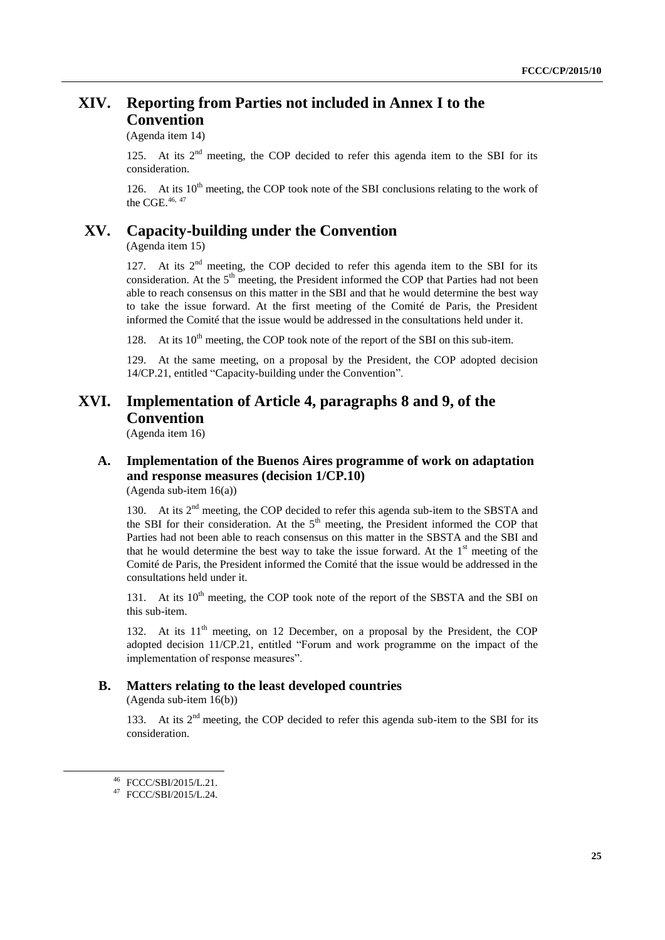# **XIV. Reporting from Parties not included in Annex I to the Convention**

(Agenda item 14)

125. At its  $2<sup>nd</sup>$  meeting, the COP decided to refer this agenda item to the SBI for its consideration.

126. At its  $10^{th}$  meeting, the COP took note of the SBI conclusions relating to the work of the CGE. $46, 47$ 

# **XV. Capacity-building under the Convention**

(Agenda item 15)

127. At its  $2<sup>nd</sup>$  meeting, the COP decided to refer this agenda item to the SBI for its consideration. At the  $5<sup>th</sup>$  meeting, the President informed the COP that Parties had not been able to reach consensus on this matter in the SBI and that he would determine the best way to take the issue forward. At the first meeting of the Comité de Paris, the President informed the Comité that the issue would be addressed in the consultations held under it.

128. At its  $10^{th}$  meeting, the COP took note of the report of the SBI on this sub-item.

129. At the same meeting, on a proposal by the President, the COP adopted decision 14/CP.21, entitled "Capacity-building under the Convention".

# **XVI. Implementation of Article 4, paragraphs 8 and 9, of the Convention**

(Agenda item 16)

# **A. Implementation of the Buenos Aires programme of work on adaptation and response measures (decision 1/CP.10)**

(Agenda sub-item 16(a))

130. At its  $2<sup>nd</sup>$  meeting, the COP decided to refer this agenda sub-item to the SBSTA and the SBI for their consideration. At the  $5<sup>th</sup>$  meeting, the President informed the COP that Parties had not been able to reach consensus on this matter in the SBSTA and the SBI and that he would determine the best way to take the issue forward. At the  $1<sup>st</sup>$  meeting of the Comité de Paris, the President informed the Comité that the issue would be addressed in the consultations held under it.

131. At its  $10<sup>th</sup>$  meeting, the COP took note of the report of the SBSTA and the SBI on this sub-item.

132. At its  $11<sup>th</sup>$  meeting, on 12 December, on a proposal by the President, the COP adopted decision 11/CP.21, entitled "Forum and work programme on the impact of the implementation of response measures".

### **B. Matters relating to the least developed countries**

(Agenda sub-item 16(b))

133. At its  $2<sup>nd</sup>$  meeting, the COP decided to refer this agenda sub-item to the SBI for its consideration.

<sup>46</sup> FCCC/SBI/2015/L.21.

<sup>47</sup> FCCC/SBI/2015/L.24.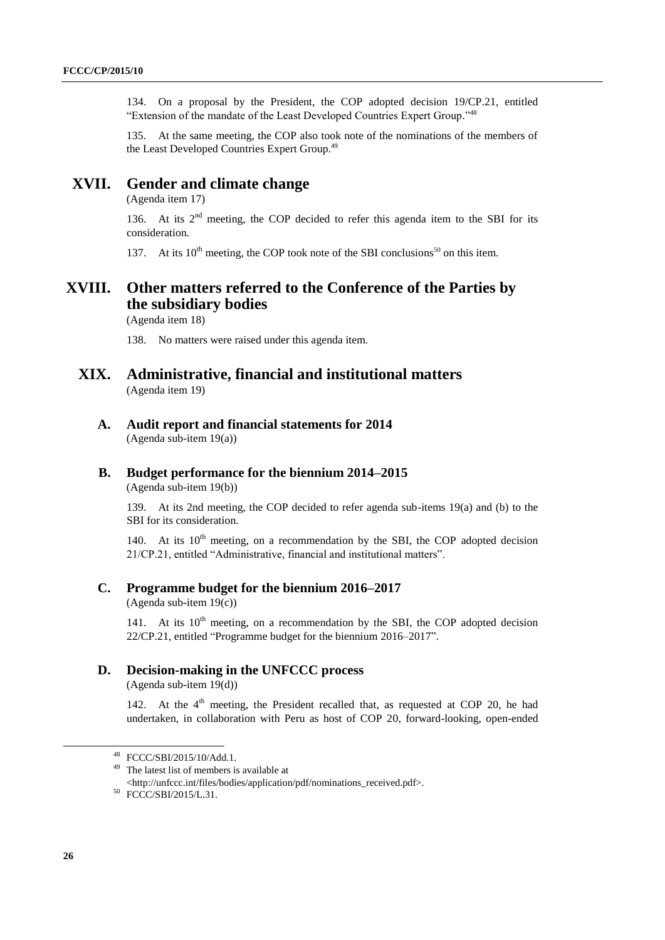134. On a proposal by the President, the COP adopted decision 19/CP.21, entitled "Extension of the mandate of the Least Developed Countries Expert Group."<sup>48</sup>

135. At the same meeting, the COP also took note of the nominations of the members of the Least Developed Countries Expert Group.<sup>49</sup>

# **XVII. Gender and climate change**

(Agenda item 17)

136. At its  $2<sup>nd</sup>$  meeting, the COP decided to refer this agenda item to the SBI for its consideration.

137. At its  $10^{th}$  meeting, the COP took note of the SBI conclusions<sup>50</sup> on this item.

# **XVIII. Other matters referred to the Conference of the Parties by the subsidiary bodies**

(Agenda item 18)

138. No matters were raised under this agenda item.

### **XIX. Administrative, financial and institutional matters** (Agenda item 19)

**A. Audit report and financial statements for 2014** (Agenda sub-item 19(a))

### **B. Budget performance for the biennium 2014–2015**

(Agenda sub-item 19(b))

139. At its 2nd meeting, the COP decided to refer agenda sub-items 19(a) and (b) to the SBI for its consideration.

140. At its  $10<sup>th</sup>$  meeting, on a recommendation by the SBI, the COP adopted decision 21/CP.21, entitled "Administrative, financial and institutional matters".

#### **C. Programme budget for the biennium 2016–2017**

(Agenda sub-item 19(c))

141. At its  $10^{th}$  meeting, on a recommendation by the SBI, the COP adopted decision 22/CP.21, entitled "Programme budget for the biennium 2016–2017".

#### **D. Decision-making in the UNFCCC process**

(Agenda sub-item 19(d))

142. At the  $4<sup>th</sup>$  meeting, the President recalled that, as requested at COP 20, he had undertaken, in collaboration with Peru as host of COP 20, forward-looking, open-ended

<sup>48</sup> FCCC/SBI/2015/10/Add.1.

<sup>49</sup> The latest list of members is available at

<sup>&</sup>lt;http://unfccc.int/files/bodies/application/pdf/nominations\_received.pdf>.

<sup>50</sup> FCCC/SBI/2015/L.31.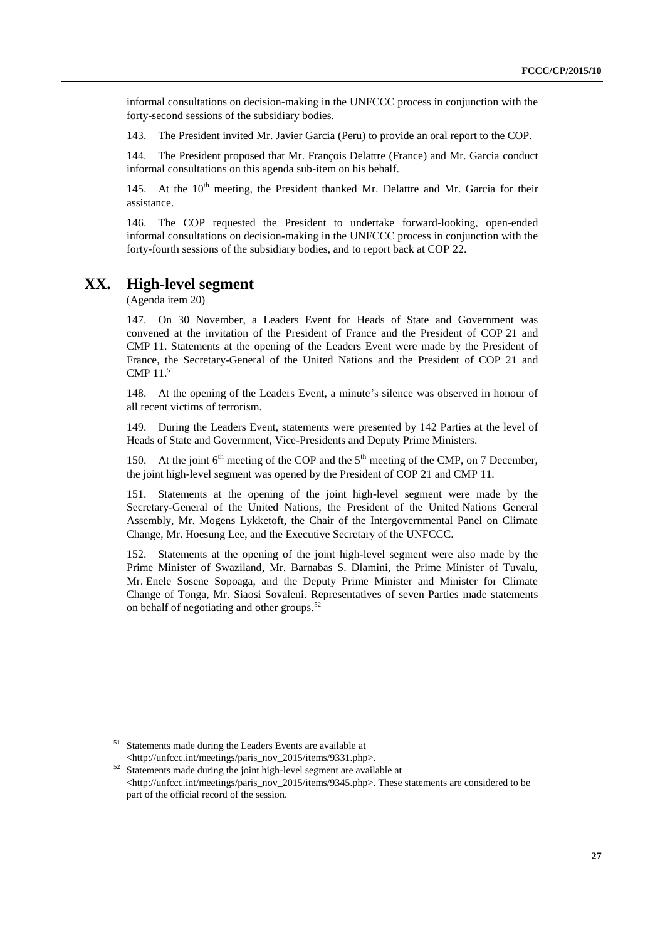informal consultations on decision-making in the UNFCCC process in conjunction with the forty-second sessions of the subsidiary bodies.

143. The President invited Mr. Javier Garcia (Peru) to provide an oral report to the COP.

144. The President proposed that Mr. François Delattre (France) and Mr. Garcia conduct informal consultations on this agenda sub-item on his behalf.

145. At the  $10<sup>th</sup>$  meeting, the President thanked Mr. Delattre and Mr. Garcia for their assistance.

146. The COP requested the President to undertake forward-looking, open-ended informal consultations on decision-making in the UNFCCC process in conjunction with the forty-fourth sessions of the subsidiary bodies, and to report back at COP 22.

### **XX. High-level segment**

(Agenda item 20)

147. On 30 November, a Leaders Event for Heads of State and Government was convened at the invitation of the President of France and the President of COP 21 and CMP 11. Statements at the opening of the Leaders Event were made by the President of France, the Secretary-General of the United Nations and the President of COP 21 and CMP 11. 51

148. At the opening of the Leaders Event, a minute's silence was observed in honour of all recent victims of terrorism.

149. During the Leaders Event, statements were presented by 142 Parties at the level of Heads of State and Government, Vice-Presidents and Deputy Prime Ministers.

150. At the joint  $6<sup>th</sup>$  meeting of the COP and the  $5<sup>th</sup>$  meeting of the CMP, on 7 December, the joint high-level segment was opened by the President of COP 21 and CMP 11.

151. Statements at the opening of the joint high-level segment were made by the Secretary-General of the United Nations, the President of the United Nations General Assembly, Mr. Mogens Lykketoft, the Chair of the Intergovernmental Panel on Climate Change, Mr. Hoesung Lee, and the Executive Secretary of the UNFCCC.

152. Statements at the opening of the joint high-level segment were also made by the Prime Minister of Swaziland, Mr. Barnabas S. Dlamini, the Prime Minister of Tuvalu, Mr. Enele Sosene Sopoaga, and the Deputy Prime Minister and Minister for Climate Change of Tonga, Mr. Siaosi Sovaleni. Representatives of seven Parties made statements on behalf of negotiating and other groups. 52

Statements made during the Leaders Events are available at <http://unfccc.int/meetings/paris\_nov\_2015/items/9331.php>.

<sup>&</sup>lt;sup>52</sup> Statements made during the joint high-level segment are available at <http://unfccc.int/meetings/paris\_nov\_2015/items/9345.php>. These statements are considered to be part of the official record of the session.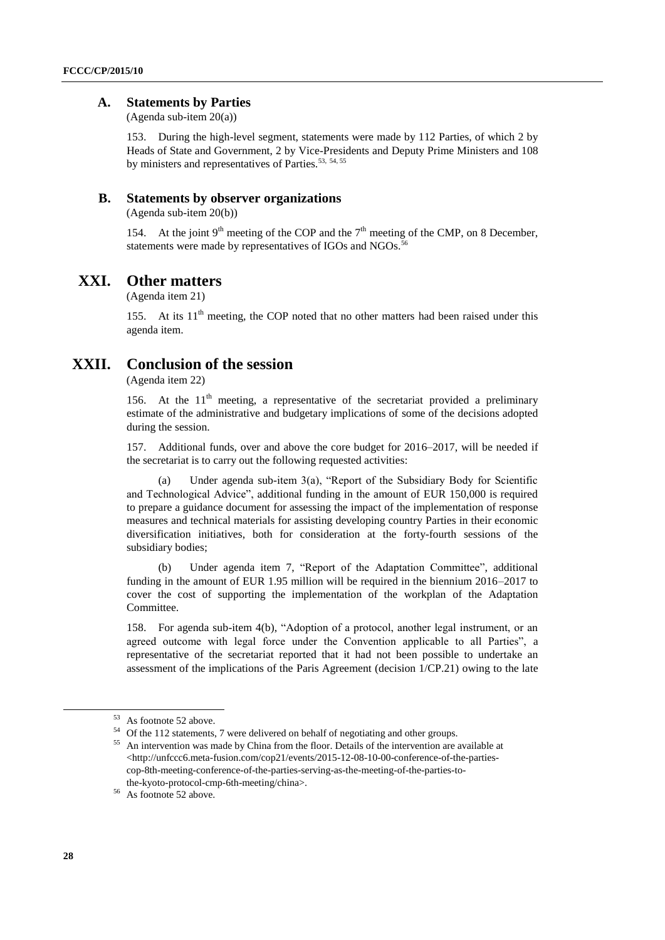#### **A. Statements by Parties**

(Agenda sub-item 20(a))

153. During the high-level segment, statements were made by 112 Parties, of which 2 by Heads of State and Government, 2 by Vice-Presidents and Deputy Prime Ministers and 108 by ministers and representatives of Parties.<sup>53, 54, 55</sup>

#### **B. Statements by observer organizations**

(Agenda sub-item 20(b))

154. At the joint  $9<sup>th</sup>$  meeting of the COP and the  $7<sup>th</sup>$  meeting of the CMP, on 8 December, statements were made by representatives of IGOs and NGOs.<sup>56</sup>

# **XXI. Other matters**

(Agenda item 21)

155. At its  $11<sup>th</sup>$  meeting, the COP noted that no other matters had been raised under this agenda item.

# **XXII. Conclusion of the session**

(Agenda item 22)

156. At the  $11<sup>th</sup>$  meeting, a representative of the secretariat provided a preliminary estimate of the administrative and budgetary implications of some of the decisions adopted during the session.

157. Additional funds, over and above the core budget for 2016–2017, will be needed if the secretariat is to carry out the following requested activities:

(a) Under agenda sub-item 3(a), "Report of the Subsidiary Body for Scientific and Technological Advice", additional funding in the amount of EUR 150,000 is required to prepare a guidance document for assessing the impact of the implementation of response measures and technical materials for assisting developing country Parties in their economic diversification initiatives, both for consideration at the forty-fourth sessions of the subsidiary bodies;

(b) Under agenda item 7, "Report of the Adaptation Committee", additional funding in the amount of EUR 1.95 million will be required in the biennium 2016–2017 to cover the cost of supporting the implementation of the workplan of the Adaptation Committee.

158. For agenda sub-item 4(b), "Adoption of a protocol, another legal instrument, or an agreed outcome with legal force under the Convention applicable to all Parties", a representative of the secretariat reported that it had not been possible to undertake an assessment of the implications of the Paris Agreement (decision 1/CP.21) owing to the late

<sup>53</sup> As footnote 52 above.

<sup>54</sup> Of the 112 statements, 7 were delivered on behalf of negotiating and other groups.

<sup>&</sup>lt;sup>55</sup> An intervention was made by China from the floor. Details of the intervention are available at  $\langle$ http://unfccc6.meta-fusion.com/cop21/events/2015-12-08-10-00-conference-of-the-partiescop-8th-meeting-conference-of-the-parties-serving-as-the-meeting-of-the-parties-tothe-kyoto-protocol-cmp-6th-meeting/china>.

<sup>56</sup> As footnote 52 above.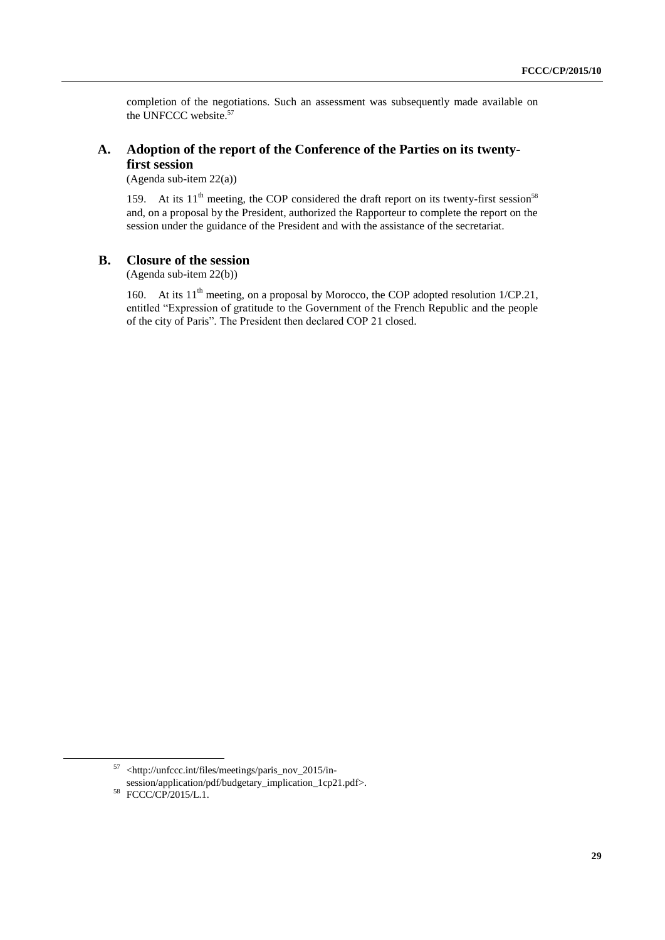completion of the negotiations. Such an assessment was subsequently made available on the UNFCCC website. 57

### **A. Adoption of the report of the Conference of the Parties on its twentyfirst session**

(Agenda sub-item 22(a))

159. At its  $11<sup>th</sup>$  meeting, the COP considered the draft report on its twenty-first session<sup>58</sup> and, on a proposal by the President, authorized the Rapporteur to complete the report on the session under the guidance of the President and with the assistance of the secretariat.

#### **B. Closure of the session**

(Agenda sub-item 22(b))

160. At its  $11<sup>th</sup>$  meeting, on a proposal by Morocco, the COP adopted resolution  $1/CP.21$ , entitled "Expression of gratitude to the Government of the French Republic and the people of the city of Paris". The President then declared COP 21 closed.

1

<sup>57</sup> <http://unfccc.int/files/meetings/paris\_nov\_2015/insession/application/pdf/budgetary\_implication\_1cp21.pdf>.

<sup>58</sup> FCCC/CP/2015/L.1.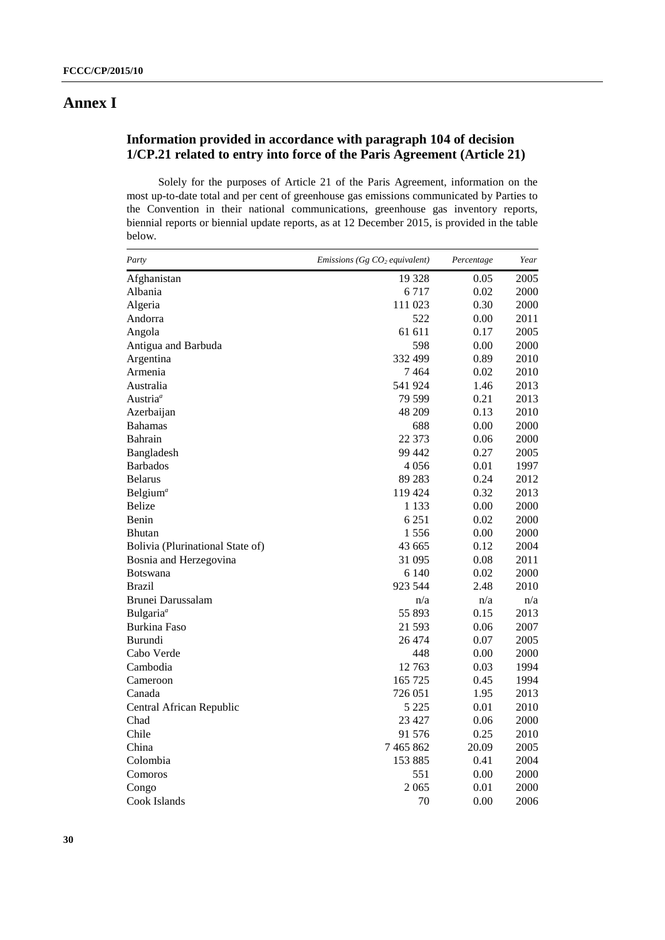# **Annex I**

# **Information provided in accordance with paragraph 104 of decision 1/CP.21 related to entry into force of the Paris Agreement (Article 21)**

Solely for the purposes of Article 21 of the Paris Agreement, information on the most up-to-date total and per cent of greenhouse gas emissions communicated by Parties to the Convention in their national communications, greenhouse gas inventory reports, biennial reports or biennial update reports, as at 12 December 2015, is provided in the table below.

| Party                            | <i>Emissions</i> ( <i>Gg CO<sub>2</sub> equivalent</i> ) | Percentage | Year |
|----------------------------------|----------------------------------------------------------|------------|------|
| Afghanistan                      | 19 328                                                   | 0.05       | 2005 |
| Albania                          | 6 7 1 7                                                  | 0.02       | 2000 |
| Algeria                          | 111 023                                                  | 0.30       | 2000 |
| Andorra                          | 522                                                      | 0.00       | 2011 |
| Angola                           | 61 611                                                   | 0.17       | 2005 |
| Antigua and Barbuda              | 598                                                      | 0.00       | 2000 |
| Argentina                        | 332 499                                                  | 0.89       | 2010 |
| Armenia                          | 7464                                                     | 0.02       | 2010 |
| Australia                        | 541 924                                                  | 1.46       | 2013 |
| Austria <sup>a</sup>             | 79 599                                                   | 0.21       | 2013 |
| Azerbaijan                       | 48 209                                                   | 0.13       | 2010 |
| <b>Bahamas</b>                   | 688                                                      | 0.00       | 2000 |
| Bahrain                          | 22 373                                                   | 0.06       | 2000 |
| Bangladesh                       | 99 442                                                   | 0.27       | 2005 |
| <b>Barbados</b>                  | 4 0 5 6                                                  | 0.01       | 1997 |
| <b>Belarus</b>                   | 89 283                                                   | 0.24       | 2012 |
| Belgium <sup>a</sup>             | 119 424                                                  | 0.32       | 2013 |
| Belize                           | 1 1 3 3                                                  | 0.00       | 2000 |
| Benin                            | 6 2 5 1                                                  | 0.02       | 2000 |
| <b>Bhutan</b>                    | 1556                                                     | 0.00       | 2000 |
| Bolivia (Plurinational State of) | 43 665                                                   | 0.12       | 2004 |
| Bosnia and Herzegovina           | 31 095                                                   | 0.08       | 2011 |
| <b>Botswana</b>                  | 6 1 4 0                                                  | 0.02       | 2000 |
| <b>Brazil</b>                    | 923 544                                                  | 2.48       | 2010 |
| Brunei Darussalam                | n/a                                                      | n/a        | n/a  |
| Bulgaria <sup>a</sup>            | 55 893                                                   | 0.15       | 2013 |
| <b>Burkina Faso</b>              | 21 593                                                   | 0.06       | 2007 |
| Burundi                          | 26 474                                                   | 0.07       | 2005 |
| Cabo Verde                       | 448                                                      | 0.00       | 2000 |
| Cambodia                         | 12763                                                    | 0.03       | 1994 |
| Cameroon                         | 165 725                                                  | 0.45       | 1994 |
| Canada                           | 726 051                                                  | 1.95       | 2013 |
| Central African Republic         | 5 225                                                    | 0.01       | 2010 |
| Chad                             | 23 4 27                                                  | 0.06       | 2000 |
| Chile                            | 91 576                                                   | 0.25       | 2010 |
| China                            | 7 4 65 8 62                                              | 20.09      | 2005 |
| Colombia                         | 153 885                                                  | 0.41       | 2004 |
| Comoros                          | 551                                                      | 0.00       | 2000 |
| Congo                            | 2 0 6 5                                                  | 0.01       | 2000 |
| Cook Islands                     | 70                                                       | 0.00       | 2006 |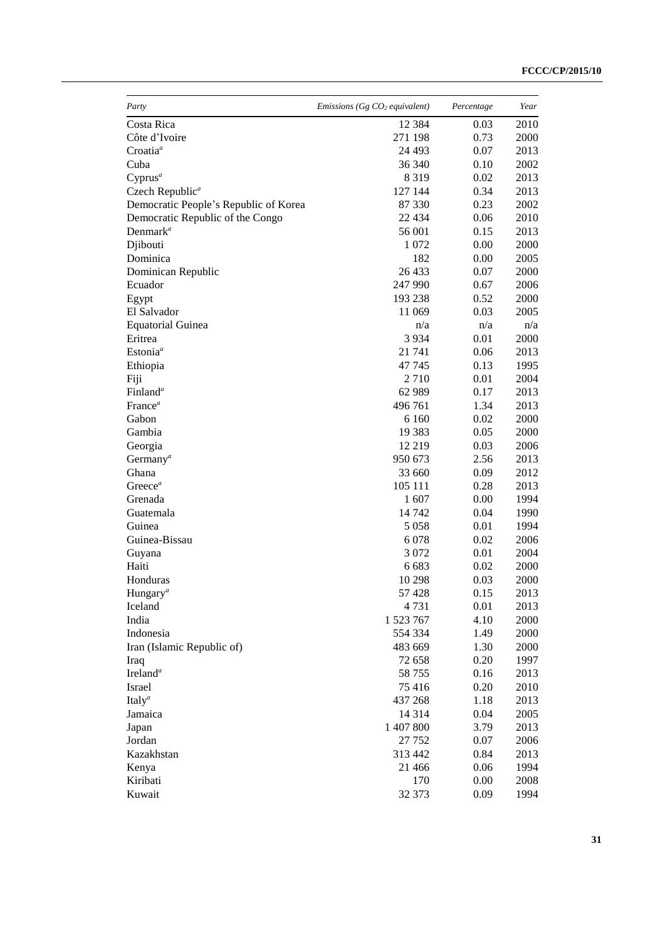| Party                                 | <i>Emissions</i> ( $Gg$ $CO2$ equivalent) | Percentage | Year     |
|---------------------------------------|-------------------------------------------|------------|----------|
| Costa Rica                            | 12 3 8 4                                  | 0.03       | 2010     |
| Côte d'Ivoire                         | 271 198                                   | 0.73       | 2000     |
| Croatia <sup>a</sup>                  | 24 493                                    | 0.07       | 2013     |
| Cuba                                  | 36 340                                    | 0.10       | 2002     |
| $Cyprus^a$                            | 8 3 1 9                                   | 0.02       | 2013     |
| Czech Republic <sup>a</sup>           | 127 144                                   | 0.34       | 2013     |
| Democratic People's Republic of Korea | 87 330                                    | 0.23       | 2002     |
| Democratic Republic of the Congo      | 22 4 34                                   | 0.06       | 2010     |
| Denmark <sup><math>a</math></sup>     | 56 001                                    | 0.15       | 2013     |
| Djibouti                              | 1 0 7 2                                   | 0.00       | 2000     |
| Dominica                              | 182                                       | 0.00       | 2005     |
| Dominican Republic                    | 26 433                                    | 0.07       | 2000     |
| Ecuador                               | 247 990                                   | 0.67       | 2006     |
| Egypt                                 | 193 238                                   | 0.52       | 2000     |
| El Salvador                           | 11 069                                    | 0.03       | 2005     |
| <b>Equatorial Guinea</b>              | n/a                                       | n/a        | n/a      |
| Eritrea                               | 3 9 3 4                                   | 0.01       | 2000     |
| Estonia <sup>a</sup>                  | 21 741                                    | 0.06       | 2013     |
| Ethiopia                              | 47 745                                    | 0.13       | 1995     |
| Fiji                                  | 2 7 1 0                                   | 0.01       | 2004     |
| Finland <sup>a</sup>                  | 62 989                                    | 0.17       | 2013     |
| France <sup>a</sup>                   | 496 761                                   | 1.34       | 2013     |
| Gabon                                 | 6 1 6 0                                   | 0.02       | 2000     |
| Gambia                                | 19 3 8 3                                  | 0.05       | 2000     |
| Georgia                               | 12 219                                    | 0.03       | 2006     |
| Germany <sup><math>a</math></sup>     | 950 673                                   | 2.56       | 2013     |
| Ghana                                 | 33 660                                    | 0.09       | 2012     |
| Greece <sup>a</sup>                   | 105 111                                   | 0.28       | 2013     |
| Grenada                               | 1 607                                     | 0.00       | 1994     |
| Guatemala                             | 14 742                                    | 0.04       | 1990     |
| Guinea                                | 5 0 5 8                                   | 0.01       | 1994     |
| Guinea-Bissau                         | 6 0 78                                    | 0.02       | 2006     |
| Guyana                                | 3 0 7 2                                   | 0.01       | 2004     |
| Haiti                                 | 6 6 8 3                                   | 0.02       | 2000     |
| Honduras                              | 10 298                                    | 0.03       | 2000     |
| Hungary <sup>a</sup>                  | 57 428                                    | 0.15       | 2013     |
| Iceland                               | 4 7 3 1                                   | 0.01       | 2013     |
| India                                 | 1 523 767                                 | 4.10       | 2000     |
| Indonesia                             | 554 334                                   | 1.49       | 2000     |
| Iran (Islamic Republic of)            | 483 669                                   | 1.30       | 2000     |
| Iraq                                  | 72 658                                    | 0.20       | 1997     |
| Ireland <sup>a</sup>                  | 58 755                                    | 0.16       | 2013     |
| Israel                                | 75 416                                    | 0.20       | $2010\,$ |
| Italy <sup>a</sup>                    | 437 268                                   | 1.18       | 2013     |
| Jamaica                               | 14 3 14                                   | 0.04       |          |
|                                       |                                           |            | 2005     |
| Japan                                 | 1 407 800                                 | 3.79       | 2013     |
| Jordan                                | 27 752                                    | 0.07       | 2006     |
| Kazakhstan                            | 313 442                                   | 0.84       | 2013     |
| Kenya                                 | 21 4 6 6                                  | 0.06       | 1994     |
| Kiribati                              | 170                                       | 0.00       | 2008     |
| Kuwait                                | 32 373                                    | 0.09       | 1994     |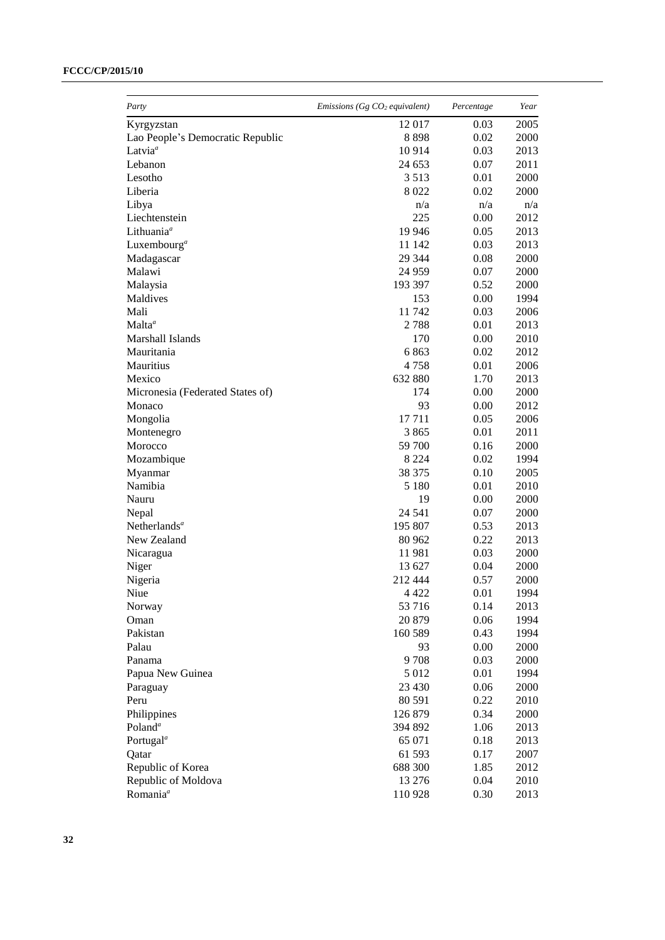### **FCCC/CP/2015/10**

| Party                            | Emissions (Gg $CO2$ equivalent) | Percentage | Year |
|----------------------------------|---------------------------------|------------|------|
| Kyrgyzstan                       | 12 017                          | 0.03       | 2005 |
| Lao People's Democratic Republic | 8898                            | 0.02       | 2000 |
| Latvia <sup>a</sup>              | 10 9 14                         | 0.03       | 2013 |
| Lebanon                          | 24 653                          | 0.07       | 2011 |
| Lesotho                          | 3 5 1 3                         | 0.01       | 2000 |
| Liberia                          | 8 0 2 2                         | 0.02       | 2000 |
| Libya                            | n/a                             | n/a        | n/a  |
| Liechtenstein                    | 225                             | 0.00       | 2012 |
| Lithuania <sup>a</sup>           | 19 946                          | 0.05       | 2013 |
| Luxembourg <sup>a</sup>          | 11 142                          | 0.03       | 2013 |
| Madagascar                       | 29 344                          | 0.08       | 2000 |
| Malawi                           | 24 9 59                         | 0.07       | 2000 |
| Malaysia                         | 193 397                         | 0.52       | 2000 |
| Maldives                         | 153                             | 0.00       | 1994 |
| Mali                             | 11 742                          | 0.03       | 2006 |
| Malta <sup>a</sup>               | 2788                            | 0.01       | 2013 |
| Marshall Islands                 | 170                             | 0.00       | 2010 |
| Mauritania                       | 6863                            | 0.02       | 2012 |
| Mauritius                        | 4758                            | 0.01       | 2006 |
| Mexico                           | 632 880                         | 1.70       | 2013 |
| Micronesia (Federated States of) | 174                             | 0.00       | 2000 |
| Monaco                           | 93                              | 0.00       | 2012 |
| Mongolia                         | 17711                           | 0.05       | 2006 |
| Montenegro                       | 3865                            | 0.01       | 2011 |
| Morocco                          | 59 700                          | 0.16       | 2000 |
|                                  | 8 2 2 4                         | 0.02       | 1994 |
| Mozambique                       | 38 375                          | 0.10       | 2005 |
| Myanmar<br>Namibia               |                                 |            |      |
|                                  | 5 1 8 0                         | 0.01       | 2010 |
| Nauru                            | 19                              | 0.00       | 2000 |
| Nepal                            | 24 541                          | 0.07       | 2000 |
| Netherlands <sup>a</sup>         | 195 807                         | 0.53       | 2013 |
| New Zealand                      | 80 962                          | 0.22       | 2013 |
| Nicaragua                        | 11981                           | 0.03       | 2000 |
| Niger                            | 13 627                          | 0.04       | 2000 |
| Nigeria                          | 212 444                         | 0.57       | 2000 |
| Niue                             | 4 4 2 2                         | 0.01       | 1994 |
| Norway                           | 53 716                          | 0.14       | 2013 |
| Oman                             | 20 879                          | 0.06       | 1994 |
| Pakistan                         | 160 589                         | 0.43       | 1994 |
| Palau                            | 93                              | 0.00       | 2000 |
| Panama                           | 9708                            | 0.03       | 2000 |
| Papua New Guinea                 | 5 0 1 2                         | 0.01       | 1994 |
| Paraguay                         | 23 4 30                         | 0.06       | 2000 |
| Peru                             | 80 591                          | 0.22       | 2010 |
| Philippines                      | 126 879                         | 0.34       | 2000 |
| Poland <sup>a</sup>              | 394 892                         | 1.06       | 2013 |
| Portugal <sup>a</sup>            | 65 071                          | 0.18       | 2013 |
| Qatar                            | 61 593                          | 0.17       | 2007 |
| Republic of Korea                | 688 300                         | 1.85       | 2012 |
| Republic of Moldova              | 13 276                          | 0.04       | 2010 |
| Romania <sup>a</sup>             | 110 928                         | 0.30       | 2013 |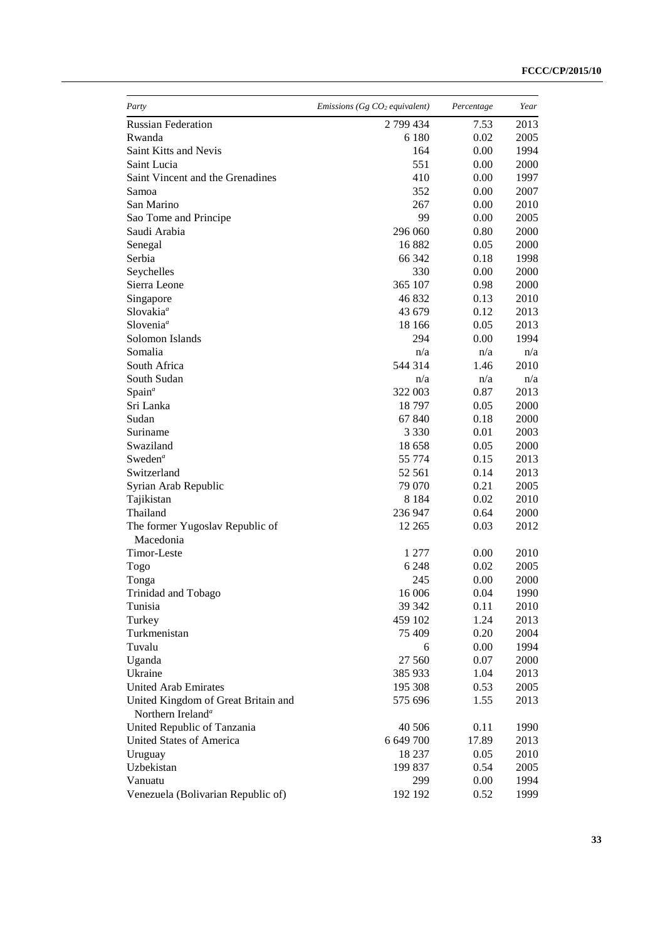| Party                               | Emissions (Gg $CO2$ equivalent) | Percentage | Year |
|-------------------------------------|---------------------------------|------------|------|
| <b>Russian Federation</b>           | 2799434                         | 7.53       | 2013 |
| Rwanda                              | 6 1 8 0                         | 0.02       | 2005 |
| Saint Kitts and Nevis               | 164                             | 0.00       | 1994 |
| Saint Lucia                         | 551                             | 0.00       | 2000 |
| Saint Vincent and the Grenadines    | 410                             | 0.00       | 1997 |
| Samoa                               | 352                             | 0.00       | 2007 |
| San Marino                          | 267                             | 0.00       | 2010 |
| Sao Tome and Principe               | 99                              | 0.00       | 2005 |
| Saudi Arabia                        | 296 060                         | 0.80       | 2000 |
| Senegal                             | 16882                           | 0.05       | 2000 |
| Serbia                              | 66 342                          | 0.18       | 1998 |
| Seychelles                          | 330                             | 0.00       | 2000 |
| Sierra Leone                        | 365 107                         | 0.98       | 2000 |
| Singapore                           | 46 832                          | 0.13       | 2010 |
| Slovakia <sup>ª</sup>               | 43 679                          | 0.12       | 2013 |
| Slovenia <sup>a</sup>               | 18 16 6                         | 0.05       | 2013 |
| Solomon Islands                     | 294                             | 0.00       | 1994 |
| Somalia                             | n/a                             | n/a        | n/a  |
| South Africa                        | 544 314                         | 1.46       | 2010 |
| South Sudan                         | n/a                             | n/a        | n/a  |
| Span <sup>a</sup>                   | 322 003                         | 0.87       | 2013 |
| Sri Lanka                           | 18797                           | 0.05       | 2000 |
| Sudan                               | 67 840                          | 0.18       | 2000 |
| Suriname                            | 3 3 3 0                         | 0.01       | 2003 |
| Swaziland                           | 18 658                          | 0.05       | 2000 |
| Sweden <sup>a</sup>                 | 55 774                          | 0.15       | 2013 |
| Switzerland                         | 52 561                          | 0.14       | 2013 |
| Syrian Arab Republic                | 79 070                          | 0.21       | 2005 |
| Tajikistan                          | 8 1 8 4                         | 0.02       | 2010 |
| Thailand                            | 236 947                         | 0.64       | 2000 |
| The former Yugoslav Republic of     | 12 2 65                         | 0.03       | 2012 |
| Macedonia                           |                                 |            |      |
| Timor-Leste                         | 1 277                           | 0.00       | 2010 |
| Togo                                | 6 2 4 8                         | 0.02       | 2005 |
| Tonga                               | 245                             | 0.00       | 2000 |
| Trinidad and Tobago                 | 16 006                          | 0.04       | 1990 |
| Tunisia                             | 39 342                          | 0.11       | 2010 |
| Turkey                              | 459 102                         | 1.24       | 2013 |
| Turkmenistan                        | 75 409                          | 0.20       | 2004 |
| Tuvalu                              | 6                               | 0.00       | 1994 |
| Uganda                              | 27 560                          | 0.07       | 2000 |
| Ukraine                             | 385 933                         | 1.04       | 2013 |
| <b>United Arab Emirates</b>         | 195 308                         | 0.53       | 2005 |
| United Kingdom of Great Britain and | 575 696                         | 1.55       | 2013 |
| Northern Ireland <sup>a</sup>       |                                 |            |      |
| United Republic of Tanzania         | 40 50 6                         | 0.11       | 1990 |
| <b>United States of America</b>     | 6 649 700                       | 17.89      | 2013 |
| Uruguay                             | 18 237                          | 0.05       | 2010 |
| Uzbekistan                          | 199 837                         | 0.54       | 2005 |
| Vanuatu                             | 299                             | 0.00       | 1994 |
| Venezuela (Bolivarian Republic of)  | 192 192                         | 0.52       | 1999 |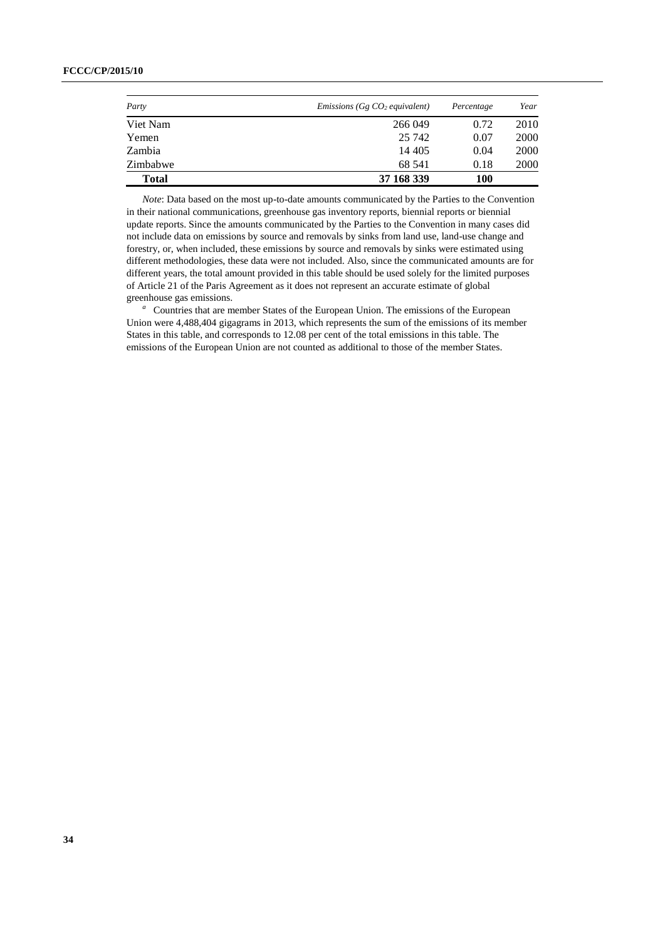#### **FCCC/CP/2015/10**

| Party        | <i>Emissions</i> ( $Gg$ $CO2$ equivalent) | Percentage | Year |
|--------------|-------------------------------------------|------------|------|
| Viet Nam     | 266 049                                   | 0.72       | 2010 |
| Yemen        | 25 742                                    | 0.07       | 2000 |
| Zambia       | 14 4 05                                   | 0.04       | 2000 |
| Zimbabwe     | 68 541                                    | 0.18       | 2000 |
| <b>Total</b> | 37 168 339                                | 100        |      |

*Note*: Data based on the most up-to-date amounts communicated by the Parties to the Convention in their national communications, greenhouse gas inventory reports, biennial reports or biennial update reports. Since the amounts communicated by the Parties to the Convention in many cases did not include data on emissions by source and removals by sinks from land use, land-use change and forestry, or, when included, these emissions by source and removals by sinks were estimated using different methodologies, these data were not included. Also, since the communicated amounts are for different years, the total amount provided in this table should be used solely for the limited purposes of Article 21 of the Paris Agreement as it does not represent an accurate estimate of global greenhouse gas emissions.

<sup>a</sup> Countries that are member States of the European Union. The emissions of the European Union were 4,488,404 gigagrams in 2013, which represents the sum of the emissions of its member States in this table, and corresponds to 12.08 per cent of the total emissions in this table. The emissions of the European Union are not counted as additional to those of the member States.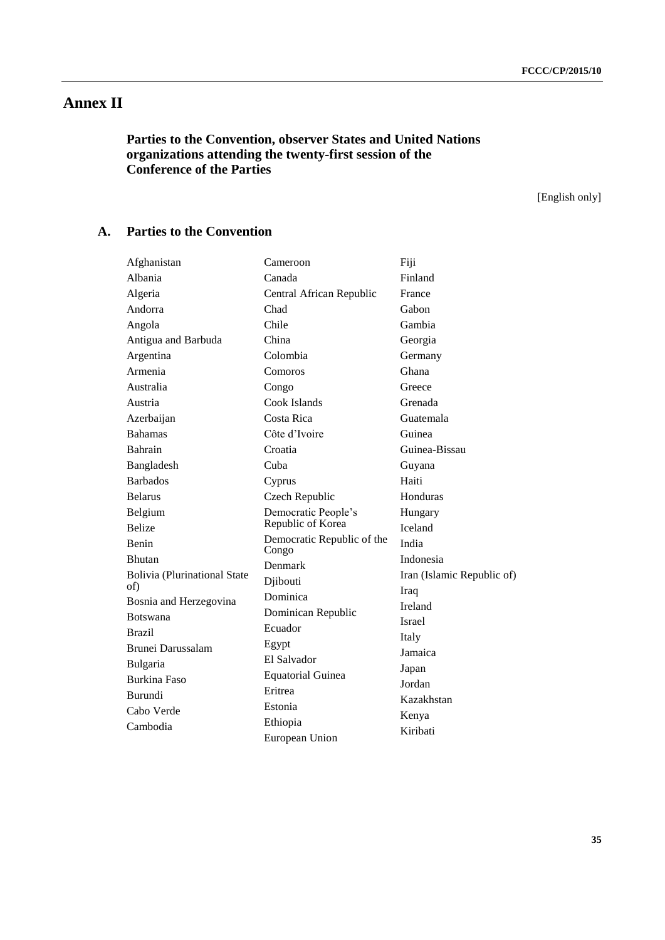# **Annex II**

# **Parties to the Convention, observer States and United Nations organizations attending the twenty-first session of the Conference of the Parties**

[English only]

# **A. Parties to the Convention**

| Afghanistan                         | Cameroon                            | Fiji                       |
|-------------------------------------|-------------------------------------|----------------------------|
| Albania                             | Canada                              | Finland                    |
| Algeria                             | Central African Republic            | France                     |
| Andorra                             | Chad                                | Gabon                      |
| Angola                              | Chile                               | Gambia                     |
| Antigua and Barbuda                 | China                               | Georgia                    |
| Argentina                           | Colombia                            | Germany                    |
| Armenia                             | Comoros                             | Ghana                      |
| Australia                           | Congo                               | Greece                     |
| Austria                             | Cook Islands                        | Grenada                    |
| Azerbaijan                          | Costa Rica                          | Guatemala                  |
| <b>Bahamas</b>                      | Côte d'Ivoire                       | Guinea                     |
| Bahrain                             | Croatia                             | Guinea-Bissau              |
| Bangladesh                          | Cuba                                | Guyana                     |
| <b>Barbados</b>                     | Cyprus                              | Haiti                      |
| <b>Belarus</b>                      | Czech Republic                      | Honduras                   |
| Belgium                             | Democratic People's                 | Hungary                    |
| <b>Belize</b>                       | Republic of Korea                   | Iceland                    |
| Benin                               | Democratic Republic of the<br>Congo | India                      |
| <b>Bhutan</b>                       | Denmark                             | Indonesia                  |
| <b>Bolivia (Plurinational State</b> | Djibouti                            | Iran (Islamic Republic of) |
| of)                                 | Dominica                            | Iraq                       |
| Bosnia and Herzegovina              | Dominican Republic                  | Ireland                    |
| <b>Botswana</b>                     | Ecuador                             | Israel                     |
| <b>Brazil</b>                       | Egypt                               | Italy                      |
| Brunei Darussalam                   | El Salvador                         | Jamaica                    |
| Bulgaria                            | <b>Equatorial Guinea</b>            | Japan                      |
| <b>Burkina Faso</b>                 | Eritrea                             | Jordan                     |
| <b>Burundi</b>                      | Estonia                             | Kazakhstan                 |
| Cabo Verde                          | Ethiopia                            | Kenya                      |
| Cambodia                            | European Union                      | Kiribati                   |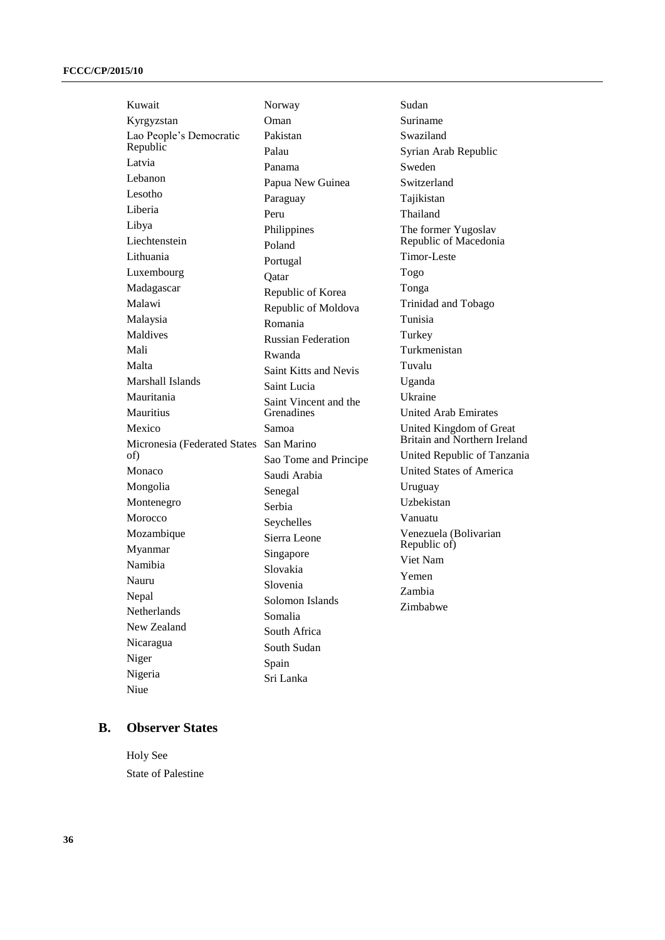Kuwait Kyrgyzstan Lao People's Democratic Republic Latvia Lebanon Lesotho Liberia Libya Liechtenstein Lithuania Luxembourg Madagascar Malawi Malaysia Maldives Mali Malta Marshall Islands Mauritania Mauritius Mexico Micronesia (Federated States San Marino of) Monaco Mongolia Montenegro Morocco Mozambique Myanmar Namibia Nauru Nepal Netherlands New Zealand Nicaragua Niger Nigeria Niue Norway Oman Pakistan Palau Panama Papua New Guinea Paraguay Peru Philippines Poland Portugal Qatar Republic of Korea Republic of Moldova Romania Russian Federation Rwanda Saint Kitts and Nevis Saint Lucia Saint Vincent and the Grenadines Samoa Sao Tome and Principe Saudi Arabia Senegal Serbia Seychelles Sierra Leone Singapore Slovakia Slovenia Solomon Islands Somalia South Africa South Sudan Spain Sri Lanka

Sudan Suriname Swaziland Syrian Arab Republic Sweden Switzerland Tajikistan Thailand The former Yugoslav Republic of Macedonia Timor-Leste Togo Tonga Trinidad and Tobago Tunisia Turkey Turkmenistan Tuvalu Uganda Ukraine United Arab Emirates United Kingdom of Great Britain and Northern Ireland United Republic of Tanzania United States of America Uruguay Uzbekistan Vanuatu Venezuela (Bolivarian Republic of) Viet Nam Yemen Zambia Zimbabwe

#### **B. Observer States**

Holy See State of Palestine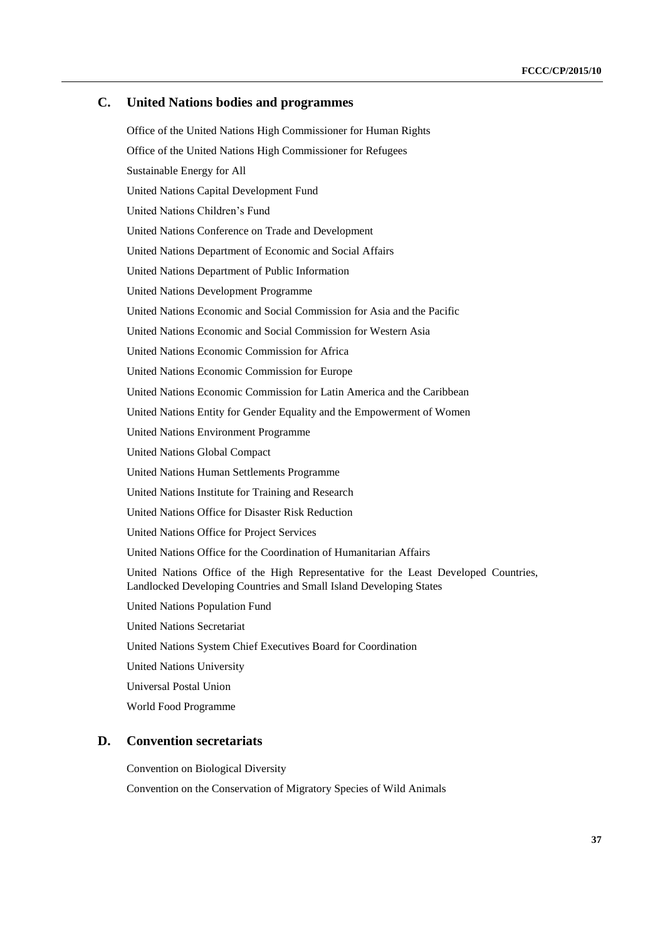#### **C. United Nations bodies and programmes**

Office of the United Nations High Commissioner for Human Rights Office of the United Nations High Commissioner for Refugees Sustainable Energy for All United Nations Capital Development Fund United Nations Children's Fund United Nations Conference on Trade and Development United Nations Department of Economic and Social Affairs United Nations Department of Public Information United Nations Development Programme United Nations Economic and Social Commission for Asia and the Pacific United Nations Economic and Social Commission for Western Asia United Nations Economic Commission for Africa United Nations Economic Commission for Europe United Nations Economic Commission for Latin America and the Caribbean United Nations Entity for Gender Equality and the Empowerment of Women United Nations Environment Programme United Nations Global Compact United Nations Human Settlements Programme United Nations Institute for Training and Research United Nations Office for Disaster Risk Reduction United Nations Office for Project Services United Nations Office for the Coordination of Humanitarian Affairs United Nations Office of the High Representative for the Least Developed Countries, Landlocked Developing Countries and Small Island Developing States United Nations Population Fund United Nations Secretariat United Nations System Chief Executives Board for Coordination United Nations University Universal Postal Union

#### World Food Programme

#### **D. Convention secretariats**

Convention on Biological Diversity

Convention on the Conservation of Migratory Species of Wild Animals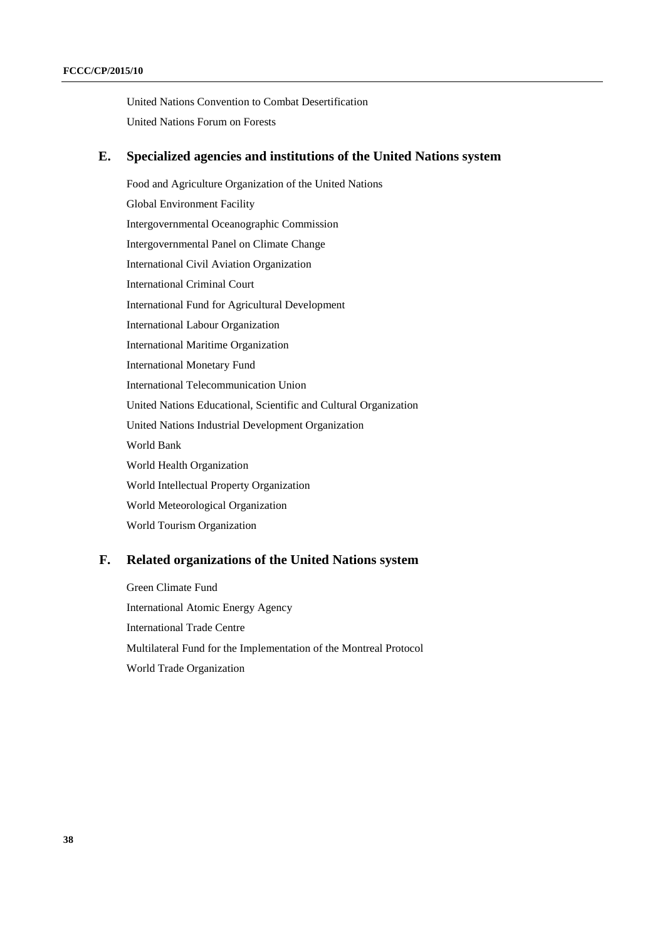United Nations Convention to Combat Desertification United Nations Forum on Forests

### **E. Specialized agencies and institutions of the United Nations system**

Food and Agriculture Organization of the United Nations Global Environment Facility Intergovernmental Oceanographic Commission Intergovernmental Panel on Climate Change International Civil Aviation Organization International Criminal Court International Fund for Agricultural Development International Labour Organization International Maritime Organization International Monetary Fund International Telecommunication Union United Nations Educational, Scientific and Cultural Organization United Nations Industrial Development Organization World Bank World Health Organization World Intellectual Property Organization World Meteorological Organization World Tourism Organization

### **F. Related organizations of the United Nations system**

Green Climate Fund International Atomic Energy Agency International Trade Centre Multilateral Fund for the Implementation of the Montreal Protocol World Trade Organization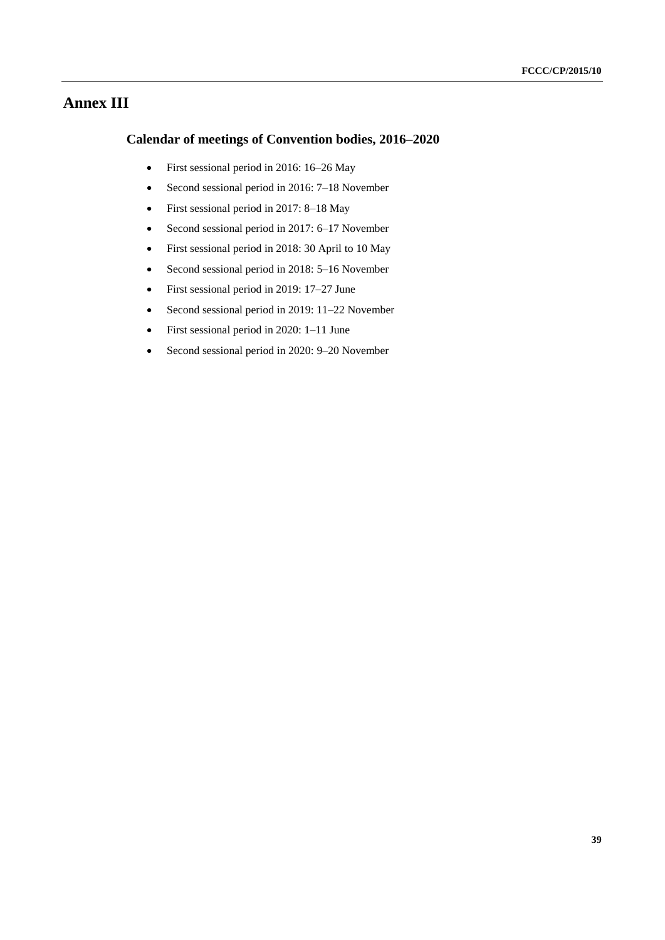# **Annex III**

# **Calendar of meetings of Convention bodies, 2016–2020**

- First sessional period in 2016: 16–26 May
- Second sessional period in 2016: 7–18 November
- First sessional period in 2017: 8–18 May
- Second sessional period in 2017: 6–17 November
- First sessional period in 2018: 30 April to 10 May
- Second sessional period in 2018: 5–16 November
- First sessional period in 2019: 17–27 June
- Second sessional period in 2019: 11–22 November
- First sessional period in 2020: 1–11 June
- Second sessional period in 2020: 9–20 November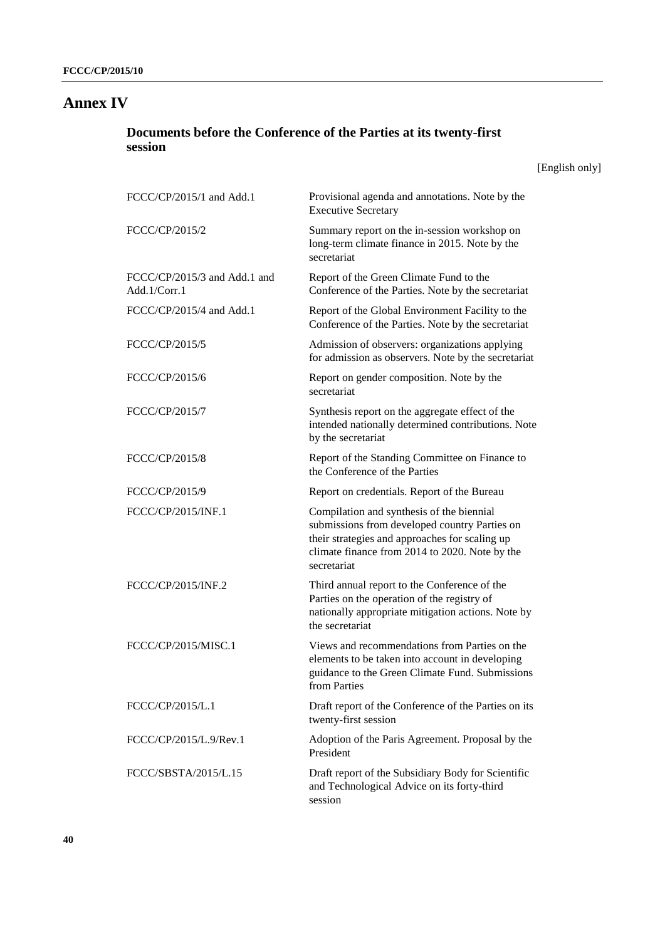# **Annex IV**

# **Documents before the Conference of the Parties at its twenty-first session**

[English only]

| FCCC/CP/2015/1 and Add.1                     | Provisional agenda and annotations. Note by the<br><b>Executive Secretary</b>                                                                                                                                 |
|----------------------------------------------|---------------------------------------------------------------------------------------------------------------------------------------------------------------------------------------------------------------|
| FCCC/CP/2015/2                               | Summary report on the in-session workshop on<br>long-term climate finance in 2015. Note by the<br>secretariat                                                                                                 |
| FCCC/CP/2015/3 and Add.1 and<br>Add.1/Corr.1 | Report of the Green Climate Fund to the<br>Conference of the Parties. Note by the secretariat                                                                                                                 |
| FCCC/CP/2015/4 and Add.1                     | Report of the Global Environment Facility to the<br>Conference of the Parties. Note by the secretariat                                                                                                        |
| FCCC/CP/2015/5                               | Admission of observers: organizations applying<br>for admission as observers. Note by the secretariat                                                                                                         |
| FCCC/CP/2015/6                               | Report on gender composition. Note by the<br>secretariat                                                                                                                                                      |
| FCCC/CP/2015/7                               | Synthesis report on the aggregate effect of the<br>intended nationally determined contributions. Note<br>by the secretariat                                                                                   |
| FCCC/CP/2015/8                               | Report of the Standing Committee on Finance to<br>the Conference of the Parties                                                                                                                               |
| FCCC/CP/2015/9                               | Report on credentials. Report of the Bureau                                                                                                                                                                   |
| FCCC/CP/2015/INF.1                           | Compilation and synthesis of the biennial<br>submissions from developed country Parties on<br>their strategies and approaches for scaling up<br>climate finance from 2014 to 2020. Note by the<br>secretariat |
| FCCC/CP/2015/INF.2                           | Third annual report to the Conference of the<br>Parties on the operation of the registry of<br>nationally appropriate mitigation actions. Note by<br>the secretariat                                          |
| FCCC/CP/2015/MISC.1                          | Views and recommendations from Parties on the<br>elements to be taken into account in developing<br>guidance to the Green Climate Fund. Submissions<br>from Parties                                           |
| FCCC/CP/2015/L.1                             | Draft report of the Conference of the Parties on its<br>twenty-first session                                                                                                                                  |
| FCCC/CP/2015/L.9/Rev.1                       | Adoption of the Paris Agreement. Proposal by the<br>President                                                                                                                                                 |
| FCCC/SBSTA/2015/L.15                         | Draft report of the Subsidiary Body for Scientific<br>and Technological Advice on its forty-third<br>session                                                                                                  |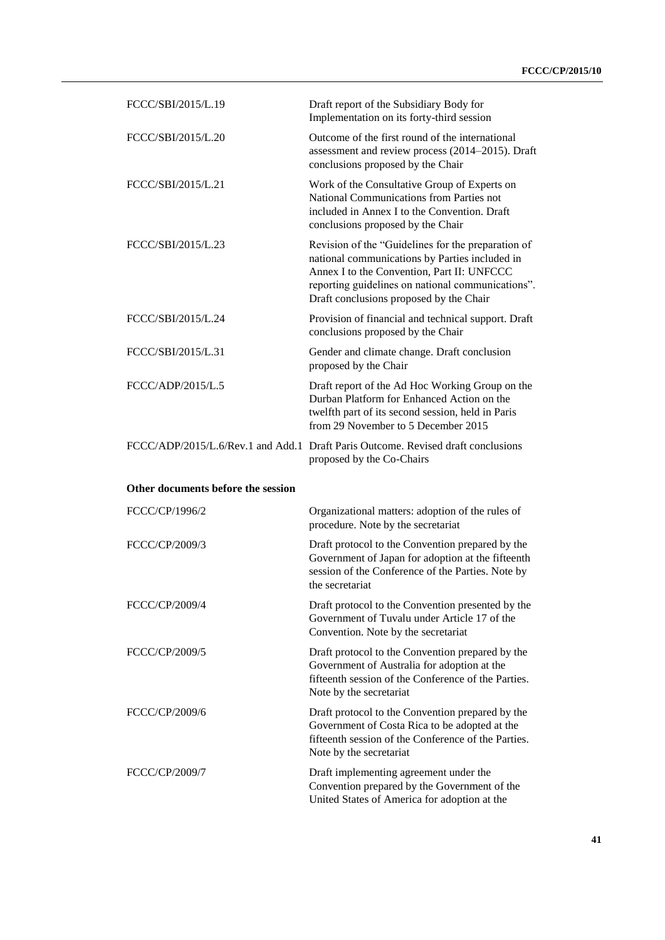| FCCC/SBI/2015/L.19                 | Draft report of the Subsidiary Body for<br>Implementation on its forty-third session                                                                                                                                                               |
|------------------------------------|----------------------------------------------------------------------------------------------------------------------------------------------------------------------------------------------------------------------------------------------------|
| FCCC/SBI/2015/L.20                 | Outcome of the first round of the international<br>assessment and review process (2014–2015). Draft<br>conclusions proposed by the Chair                                                                                                           |
| FCCC/SBI/2015/L.21                 | Work of the Consultative Group of Experts on<br>National Communications from Parties not<br>included in Annex I to the Convention. Draft<br>conclusions proposed by the Chair                                                                      |
| FCCC/SBI/2015/L.23                 | Revision of the "Guidelines for the preparation of<br>national communications by Parties included in<br>Annex I to the Convention, Part II: UNFCCC<br>reporting guidelines on national communications".<br>Draft conclusions proposed by the Chair |
| FCCC/SBI/2015/L.24                 | Provision of financial and technical support. Draft<br>conclusions proposed by the Chair                                                                                                                                                           |
| FCCC/SBI/2015/L.31                 | Gender and climate change. Draft conclusion<br>proposed by the Chair                                                                                                                                                                               |
| FCCC/ADP/2015/L.5                  | Draft report of the Ad Hoc Working Group on the<br>Durban Platform for Enhanced Action on the<br>twelfth part of its second session, held in Paris<br>from 29 November to 5 December 2015                                                          |
|                                    | FCCC/ADP/2015/L.6/Rev.1 and Add.1 Draft Paris Outcome. Revised draft conclusions<br>proposed by the Co-Chairs                                                                                                                                      |
| Other documents before the session |                                                                                                                                                                                                                                                    |
| FCCC/CP/1996/2                     | Organizational matters: adoption of the rules of<br>procedure. Note by the secretariat                                                                                                                                                             |
| FCCC/CP/2009/3                     | Draft protocol to the Convention prepared by the<br>Government of Japan for adoption at the fifteenth<br>session of the Conference of the Parties. Note by<br>the secretariat                                                                      |
| FCCC/CP/2009/4                     | Draft protocol to the Convention presented by the<br>Government of Tuvalu under Article 17 of the<br>Convention. Note by the secretariat                                                                                                           |
| FCCC/CP/2009/5                     | Draft protocol to the Convention prepared by the<br>Government of Australia for adoption at the<br>fifteenth session of the Conference of the Parties.<br>Note by the secretariat                                                                  |
| FCCC/CP/2009/6                     | Draft protocol to the Convention prepared by the<br>Government of Costa Rica to be adopted at the<br>fifteenth session of the Conference of the Parties.<br>Note by the secretariat                                                                |
| FCCC/CP/2009/7                     | Draft implementing agreement under the<br>Convention prepared by the Government of the<br>United States of America for adoption at the                                                                                                             |